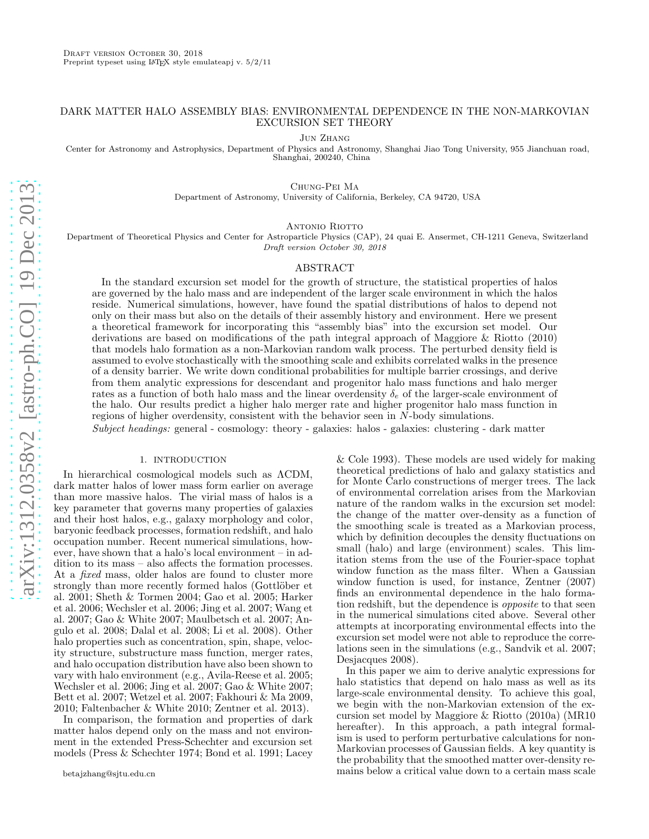# DARK MATTER HALO ASSEMBLY BIAS: ENVIRONMENTAL DEPENDENCE IN THE NON-MARKOVIAN EXCURSION SET THEORY

Jun Zhang

Center for Astronomy and Astrophysics, Department of Physics and Astronomy, Shanghai Jiao Tong University, 955 Jianchuan road, Shanghai, 200240, China

Chung-Pei Ma

Department of Astronomy, University of California, Berkeley, CA 94720, USA

ANTONIO RIOTTO

Department of Theoretical Physics and Center for Astroparticle Physics (CAP), 24 quai E. Ansermet, CH-1211 Geneva, Switzerland Draft version October 30, 2018

# ABSTRACT

In the standard excursion set model for the growth of structure, the statistical properties of halos are governed by the halo mass and are independent of the larger scale environment in which the halos reside. Numerical simulations, however, have found the spatial distributions of halos to depend not only on their mass but also on the details of their assembly history and environment. Here we present a theoretical framework for incorporating this "assembly bias" into the excursion set model. Our derivations are based on modifications of the path integral approach of Maggiore & Riotto (2010) that models halo formation as a non-Markovian random walk process. The perturbed density field is assumed to evolve stochastically with the smoothing scale and exhibits correlated walks in the presence of a density barrier. We write down conditional probabilities for multiple barrier crossings, and derive from them analytic expressions for descendant and progenitor halo mass functions and halo merger rates as a function of both halo mass and the linear overdensity  $\delta_e$  of the larger-scale environment of the halo. Our results predict a higher halo merger rate and higher progenitor halo mass function in regions of higher overdensity, consistent with the behavior seen in N-body simulations.

*Subject headings:* general - cosmology: theory - galaxies: halos - galaxies: clustering - dark matter

# 1. INTRODUCTION

In hierarchical cosmological models such as ΛCDM, dark matter halos of lower mass form earlier on average than more massive halos. The virial mass of halos is a key parameter that governs many properties of galaxies and their host halos, e.g., galaxy morphology and color, baryonic feedback processes, formation redshift, and halo occupation number. Recent numerical simulations, however, have shown that a halo's local environment – in addition to its mass – also affects the formation processes. At a *fixed* mass, older halos are found to cluster more strongly than more recently formed halos (Gottlöber et al. 2001; Sheth & Tormen 2004; Gao et al. 2005; Harker et al. 2006; Wechsler et al. 2006; Jing et al. 2007; Wang et al. 2007; Gao & White 2007; Maulbetsch et al. 2007; Angulo et al. 2008; Dalal et al. 2008; Li et al. 2008). Other halo properties such as concentration, spin, shape, velocity structure, substructure mass function, merger rates, and halo occupation distribution have also been shown to vary with halo environment (e.g., Avila-Reese et al. 2005; Wechsler et al. 2006; Jing et al. 2007; Gao & White 2007; Bett et al. 2007; Wetzel et al. 2007; Fakhouri & Ma 2009, 2010; Faltenbacher & White 2010; Zentner et al. 2013).

In comparison, the formation and properties of dark matter halos depend only on the mass and not environment in the extended Press-Schechter and excursion set models (Press & Schechter 1974; Bond et al. 1991; Lacey & Cole 1993). These models are used widely for making theoretical predictions of halo and galaxy statistics and for Monte Carlo constructions of merger trees. The lack of environmental correlation arises from the Markovian nature of the random walks in the excursion set model: the change of the matter over-density as a function of the smoothing scale is treated as a Markovian process, which by definition decouples the density fluctuations on small (halo) and large (environment) scales. This limitation stems from the use of the Fourier-space tophat window function as the mass filter. When a Gaussian window function is used, for instance, Zentner (2007) finds an environmental dependence in the halo formation redshift, but the dependence is *opposite* to that seen in the numerical simulations cited above. Several other attempts at incorporating environmental effects into the excursion set model were not able to reproduce the correlations seen in the simulations (e.g., Sandvik et al. 2007; Desjacques 2008).

In this paper we aim to derive analytic expressions for halo statistics that depend on halo mass as well as its large-scale environmental density. To achieve this goal, we begin with the non-Markovian extension of the excursion set model by Maggiore & Riotto (2010a) (MR10 hereafter). In this approach, a path integral formalism is used to perform perturbative calculations for non-Markovian processes of Gaussian fields. A key quantity is the probability that the smoothed matter over-density remains below a critical value down to a certain mass scale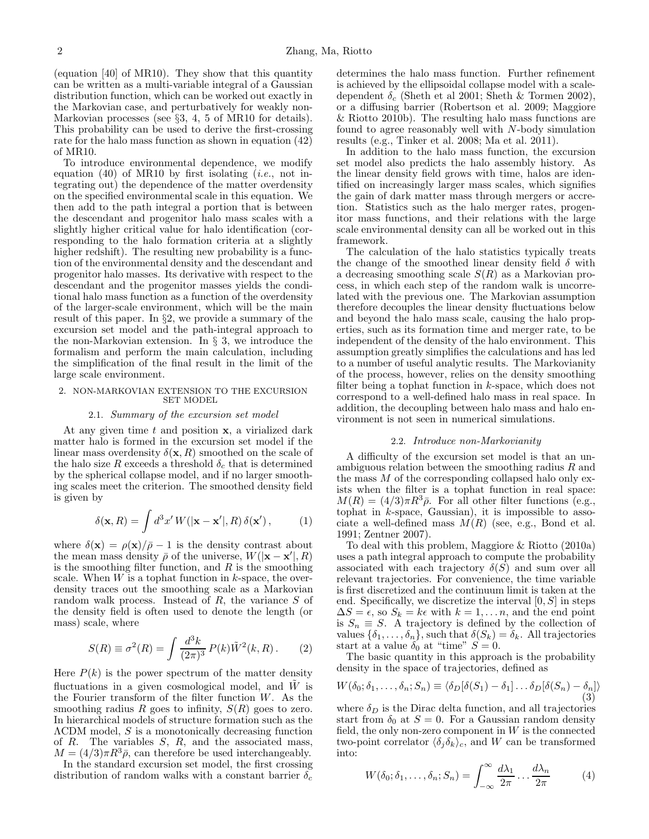(equation [40] of MR10). They show that this quantity can be written as a multi-variable integral of a Gaussian distribution function, which can be worked out exactly in the Markovian case, and perturbatively for weakly non-Markovian processes (see  $\S3, 4, 5$  of MR10 for details). This probability can be used to derive the first-crossing rate for the halo mass function as shown in equation (42) of MR10.

To introduce environmental dependence, we modify equation (40) of MR10 by first isolating (*i.e.*, not integrating out) the dependence of the matter overdensity on the specified environmental scale in this equation. We then add to the path integral a portion that is between the descendant and progenitor halo mass scales with a slightly higher critical value for halo identification (corresponding to the halo formation criteria at a slightly higher redshift). The resulting new probability is a function of the environmental density and the descendant and progenitor halo masses. Its derivative with respect to the descendant and the progenitor masses yields the conditional halo mass function as a function of the overdensity of the larger-scale environment, which will be the main result of this paper. In §2, we provide a summary of the excursion set model and the path-integral approach to the non-Markovian extension. In § 3, we introduce the formalism and perform the main calculation, including the simplification of the final result in the limit of the large scale environment.

### 2. NON-MARKOVIAN EXTENSION TO THE EXCURSION SET MODEL

### 2.1. *Summary of the excursion set model*

At any given time  $t$  and position  $x$ , a virialized dark matter halo is formed in the excursion set model if the linear mass overdensity  $\delta(\mathbf{x}, R)$  smoothed on the scale of the halo size R exceeds a threshold  $\delta_c$  that is determined by the spherical collapse model, and if no larger smoothing scales meet the criterion. The smoothed density field is given by

$$
\delta(\mathbf{x}, R) = \int d^3x' W(|\mathbf{x} - \mathbf{x}'|, R) \,\delta(\mathbf{x}')\,,\tag{1}
$$

where  $\delta(\mathbf{x}) = \rho(\mathbf{x})/\bar{\rho} - 1$  is the density contrast about the mean mass density  $\bar{\rho}$  of the universe,  $W(|\mathbf{x} - \mathbf{x}'|, R)$ is the smoothing filter function, and  $R$  is the smoothing scale. When  $W$  is a tophat function in k-space, the overdensity traces out the smoothing scale as a Markovian random walk process. Instead of R, the variance S of the density field is often used to denote the length (or mass) scale, where

$$
S(R) \equiv \sigma^2(R) = \int \frac{d^3k}{(2\pi)^3} P(k)\tilde{W}^2(k,R). \tag{2}
$$

Here  $P(k)$  is the power spectrum of the matter density fluctuations in a given cosmological model, and  $\hat{W}$  is the Fourier transform of the filter function  $W$ . As the smoothing radius R goes to infinity,  $S(R)$  goes to zero. In hierarchical models of structure formation such as the ΛCDM model, S is a monotonically decreasing function of  $R$ . The variables  $S$ ,  $R$ , and the associated mass,  $M = (4/3)\pi R^3 \bar{\rho}$ , can therefore be used interchangeably.

In the standard excursion set model, the first crossing distribution of random walks with a constant barrier  $\delta_c$ 

determines the halo mass function. Further refinement is achieved by the ellipsoidal collapse model with a scaledependent  $\delta_c$  (Sheth et al 2001; Sheth & Tormen 2002), or a diffusing barrier (Robertson et al. 2009; Maggiore & Riotto 2010b). The resulting halo mass functions are found to agree reasonably well with N-body simulation results (e.g., Tinker et al. 2008; Ma et al. 2011).

In addition to the halo mass function, the excursion set model also predicts the halo assembly history. As the linear density field grows with time, halos are identified on increasingly larger mass scales, which signifies the gain of dark matter mass through mergers or accretion. Statistics such as the halo merger rates, progenitor mass functions, and their relations with the large scale environmental density can all be worked out in this framework.

The calculation of the halo statistics typically treats the change of the smoothed linear density field  $\delta$  with a decreasing smoothing scale  $S(R)$  as a Markovian process, in which each step of the random walk is uncorrelated with the previous one. The Markovian assumption therefore decouples the linear density fluctuations below and beyond the halo mass scale, causing the halo properties, such as its formation time and merger rate, to be independent of the density of the halo environment. This assumption greatly simplifies the calculations and has led to a number of useful analytic results. The Markovianity of the process, however, relies on the density smoothing filter being a tophat function in  $k$ -space, which does not correspond to a well-defined halo mass in real space. In addition, the decoupling between halo mass and halo environment is not seen in numerical simulations.

#### 2.2. *Introduce non-Markovianity*

A difficulty of the excursion set model is that an unambiguous relation between the smoothing radius  $R$  and the mass M of the corresponding collapsed halo only exists when the filter is a tophat function in real space:  $M(R) = (4/3)\pi R^3 \bar{\rho}$ . For all other filter functions (e.g., tophat in  $k$ -space, Gaussian), it is impossible to associate a well-defined mass  $M(R)$  (see, e.g., Bond et al. 1991; Zentner 2007).

To deal with this problem, Maggiore & Riotto (2010a) uses a path integral approach to compute the probability associated with each trajectory  $\delta(S)$  and sum over all relevant trajectories. For convenience, the time variable is first discretized and the continuum limit is taken at the end. Specifically, we discretize the interval  $[0, S]$  in steps  $\Delta S = \epsilon$ , so  $S_k = k\epsilon$  with  $k = 1, \ldots n$ , and the end point is  $S_n \equiv S$ . A trajectory is defined by the collection of values  $\{\delta_1, \ldots, \delta_n\}$ , such that  $\delta(S_k) = \delta_k$ . All trajectories start at a value  $\delta_0$  at "time"  $S = 0$ .

The basic quantity in this approach is the probability density in the space of trajectories, defined as

$$
W(\delta_0; \delta_1, \dots, \delta_n; S_n) \equiv \langle \delta_D[\delta(S_1) - \delta_1] \dots \delta_D[\delta(S_n) - \delta_n] \rangle
$$
\n(3)

where  $\delta_D$  is the Dirac delta function, and all trajectories start from  $\delta_0$  at  $S = 0$ . For a Gaussian random density field, the only non-zero component in  $W$  is the connected two-point correlator  $\langle \delta_j \delta_k \rangle_c$ , and W can be transformed into:

$$
W(\delta_0; \delta_1, \dots, \delta_n; S_n) = \int_{-\infty}^{\infty} \frac{d\lambda_1}{2\pi} \dots \frac{d\lambda_n}{2\pi}
$$
 (4)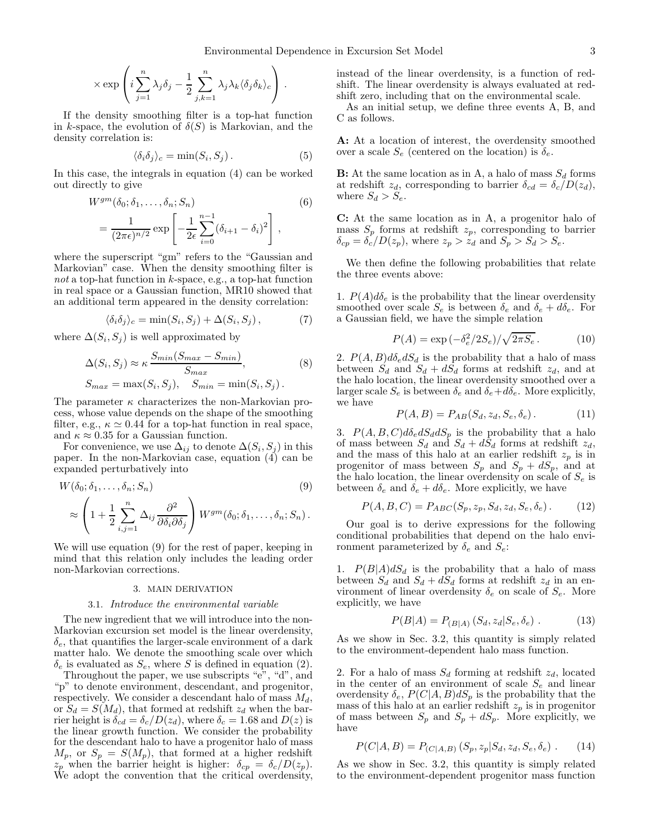$$
\times \exp\left(i\sum_{j=1}^n \lambda_j \delta_j - \frac{1}{2}\sum_{j,k=1}^n \lambda_j \lambda_k \langle \delta_j \delta_k \rangle_c\right).
$$

If the density smoothing filter is a top-hat function in k-space, the evolution of  $\delta(S)$  is Markovian, and the density correlation is:

$$
\langle \delta_i \delta_j \rangle_c = \min(S_i, S_j). \tag{5}
$$

In this case, the integrals in equation (4) can be worked out directly to give

$$
W^{gm}(\delta_0; \delta_1, \dots, \delta_n; S_n)
$$
  
= 
$$
\frac{1}{(2\pi\epsilon)^{n/2}} \exp\left[-\frac{1}{2\epsilon} \sum_{i=0}^{n-1} (\delta_{i+1} - \delta_i)^2\right],
$$
 (6)

where the superscript "gm" refers to the "Gaussian and Markovian" case. When the density smoothing filter is *not* a top-hat function in k-space, e.g., a top-hat function in real space or a Gaussian function, MR10 showed that an additional term appeared in the density correlation:

$$
\langle \delta_i \delta_j \rangle_c = \min(S_i, S_j) + \Delta(S_i, S_j), \tag{7}
$$

where  $\Delta(S_i, S_j)$  is well approximated by

$$
\Delta(S_i, S_j) \approx \kappa \frac{S_{min}(S_{max} - S_{min})}{S_{max}},
$$
\n
$$
S_{max} = \max(S_i, S_j), \quad S_{min} = \min(S_i, S_j).
$$
\n(8)

The parameter  $\kappa$  characterizes the non-Markovian process, whose value depends on the shape of the smoothing filter, e.g.,  $\kappa \simeq 0.44$  for a top-hat function in real space, and  $\kappa \approx 0.35$  for a Gaussian function.

For convenience, we use  $\Delta_{ij}$  to denote  $\Delta(S_i, S_j)$  in this paper. In the non-Markovian case, equation (4) can be expanded perturbatively into

$$
W(\delta_0; \delta_1, \dots, \delta_n; S_n)
$$
\n
$$
\approx \left(1 + \frac{1}{2} \sum_{i,j=1}^n \Delta_{ij} \frac{\partial^2}{\partial \delta_i \partial \delta_j}\right) W^{gm}(\delta_0; \delta_1, \dots, \delta_n; S_n).
$$
\n(9)

We will use equation (9) for the rest of paper, keeping in mind that this relation only includes the leading order non-Markovian corrections.

#### 3. MAIN DERIVATION

### 3.1. *Introduce the environmental variable*

The new ingredient that we will introduce into the non-Markovian excursion set model is the linear overdensity,  $\delta_e$ , that quantifies the larger-scale environment of a dark matter halo. We denote the smoothing scale over which  $\delta_e$  is evaluated as  $S_e$ , where S is defined in equation (2).

Throughout the paper, we use subscripts "e", "d", and "p" to denote environment, descendant, and progenitor, respectively. We consider a descendant halo of mass  $M_d$ , or  $S_d = S(M_d)$ , that formed at redshift  $z_d$  when the barrier height is  $\delta_{cd} = \delta_c/D(z_d)$ , where  $\delta_c = 1.68$  and  $D(z)$  is the linear growth function. We consider the probability for the descendant halo to have a progenitor halo of mass  $M_p$ , or  $S_p = S(M_p)$ , that formed at a higher redshift  $z_p$  when the barrier height is higher:  $\delta_{cp} = \delta_c/D(z_p)$ . We adopt the convention that the critical overdensity,

instead of the linear overdensity, is a function of redshift. The linear overdensity is always evaluated at redshift zero, including that on the environmental scale.

As an initial setup, we define three events A, B, and C as follows.

A: At a location of interest, the overdensity smoothed over a scale  $S_e$  (centered on the location) is  $\delta_e$ .

**B:** At the same location as in A, a halo of mass  $S_d$  forms at redshift  $z_d$ , corresponding to barrier  $\delta_{cd} = \delta_c/D(z_d)$ , where  $S_d > S_e$ .

C: At the same location as in A, a progenitor halo of mass  $S_p$  forms at redshift  $z_p$ , corresponding to barrier  $\delta_{cp} = \delta_c/D(z_p)$ , where  $z_p > z_d$  and  $S_p > S_d > S_e$ .

We then define the following probabilities that relate the three events above:

1.  $P(A)d\delta_e$  is the probability that the linear overdensity smoothed over scale  $S_e$  is between  $\delta_e$  and  $\delta_e + d\delta_e$ . For a Gaussian field, we have the simple relation

$$
P(A) = \exp\left(-\delta_e^2/2S_e\right)/\sqrt{2\pi S_e} \,. \tag{10}
$$

2.  $P(A, B)d\delta_e dS_d$  is the probability that a halo of mass between  $\dot{S}_d$  and  $S_d + d\bar{S}_d$  forms at redshift  $z_d$ , and at the halo location, the linear overdensity smoothed over a larger scale  $S_e$  is between  $\delta_e$  and  $\delta_e+d\delta_e$ . More explicitly, we have

$$
P(A, B) = P_{AB}(S_d, z_d, S_e, \delta_e).
$$
 (11)

3.  $P(A, B, C)d\delta_e dS_d dS_p$  is the probability that a halo of mass between  $S_d$  and  $S_d + d\overline{S}_d$  forms at redshift  $z_d$ , and the mass of this halo at an earlier redshift  $z_p$  is in progenitor of mass between  $S_p$  and  $S_p + dS_p$ , and at the halo location, the linear overdensity on scale of  $S_e$  is between  $\delta_e$  and  $\delta_e + d\delta_e$ . More explicitly, we have

$$
P(A, B, C) = P_{ABC}(S_p, z_p, S_d, z_d, S_e, \delta_e).
$$
 (12)

Our goal is to derive expressions for the following conditional probabilities that depend on the halo environment parameterized by  $\delta_e$  and  $S_e$ :

1.  $P(B|A)dS_d$  is the probability that a halo of mass between  $S_d$  and  $S_d + dS_d$  forms at redshift  $z_d$  in an environment of linear overdensity  $\delta_e$  on scale of  $S_e$ . More explicitly, we have

$$
P(B|A) = P_{(B|A)}(S_d, z_d|S_e, \delta_e) . \tag{13}
$$

As we show in Sec. 3.2, this quantity is simply related to the environment-dependent halo mass function.

2. For a halo of mass  $S_d$  forming at redshift  $z_d$ , located in the center of an environment of scale  $S_e$  and linear overdensity  $\delta_e$ ,  $P(C|A, B)dS_p$  is the probability that the mass of this halo at an earlier redshift  $z_p$  is in progenitor of mass between  $S_p$  and  $S_p + dS_p$ . More explicitly, we have

$$
P(C|A, B) = P_{(C|A, B)}(S_p, z_p | S_d, z_d, S_e, \delta_e).
$$
 (14)

As we show in Sec. 3.2, this quantity is simply related to the environment-dependent progenitor mass function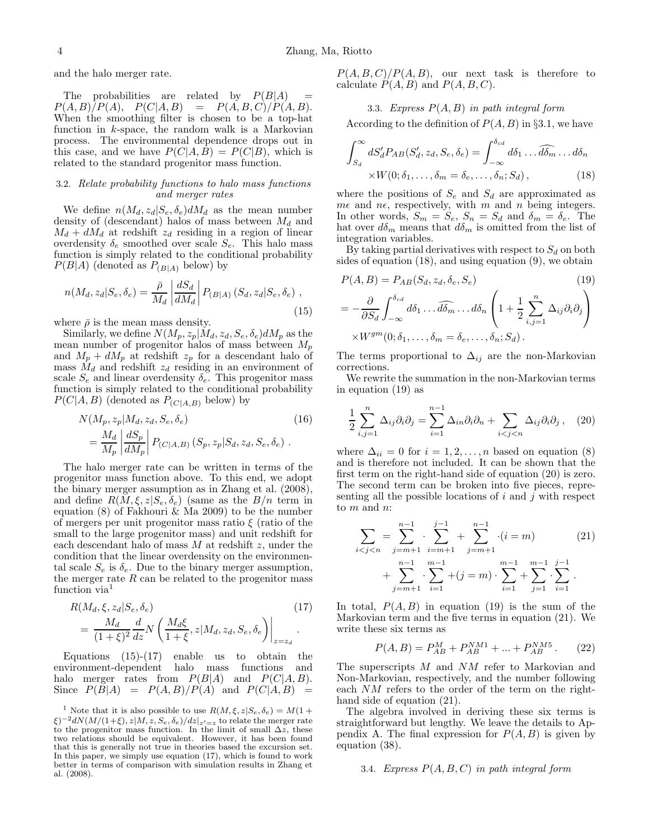and the halo merger rate.

The probabilities are related by  $P(B|A)$  =  $P(A, B)/P(A), P(C|A, B) = P(A, B, C)/P(A, B).$ When the smoothing filter is chosen to be a top-hat function in k-space, the random walk is a Markovian process. The environmental dependence drops out in this case, and we have  $P(C|A, B) = P(C|B)$ , which is related to the standard progenitor mass function.

## 3.2. *Relate probability functions to halo mass functions and merger rates*

We define  $n(M_d, z_d|S_e, \delta_e)dM_d$  as the mean number density of (descendant) halos of mass between  $M_d$  and  $M_d + dM_d$  at redshift  $z_d$  residing in a region of linear overdensity  $\delta_e$  smoothed over scale  $S_e$ . This halo mass function is simply related to the conditional probability  $P(B|A)$  (denoted as  $P_{(B|A)}$  below) by

$$
n(M_d, z_d | S_e, \delta_e) = \frac{\bar{\rho}}{M_d} \left| \frac{dS_d}{dM_d} \right| P_{(B|A)}(S_d, z_d | S_e, \delta_e) ,
$$
\n(15)

where  $\bar{\rho}$  is the mean mass density.

Similarly, we define  $N(M_p, z_p|M_d, z_d, S_e, \delta_e)dM_p$  as the mean number of progenitor halos of mass between  $M_p$ and  $M_p + dM_p$  at redshift  $z_p$  for a descendant halo of mass  $\dot{M}_d$  and redshift  $z_d$  residing in an environment of scale  $S_e$  and linear overdensity  $\delta_e$ . This progenitor mass function is simply related to the conditional probability  $P(C|A, B)$  (denoted as  $P_{(C|A, B)}$  below) by

$$
N(M_p, z_p|M_d, z_d, S_e, \delta_e)
$$
\n
$$
= \frac{M_d}{M_p} \left| \frac{dS_p}{dM_p} \right| P_{(C|A,B)}(S_p, z_p|S_d, z_d, S_e, \delta_e) .
$$
\n(16)

The halo merger rate can be written in terms of the progenitor mass function above. To this end, we adopt the binary merger assumption as in Zhang et al. (2008), and define  $R(M,\xi,z|S_e,\delta_e)$  (same as the  $B/n$  term in equation (8) of Fakhouri & Ma 2009) to be the number of mergers per unit progenitor mass ratio  $\xi$  (ratio of the small to the large progenitor mass) and unit redshift for each descendant halo of mass  $M$  at redshift  $z$ , under the condition that the linear overdensity on the environmental scale  $S_e$  is  $\delta_e$ . Due to the binary merger assumption, the merger rate  $R$  can be related to the progenitor mass function via<sup>1</sup>

$$
R(M_d, \xi, z_d | S_e, \delta_e)
$$
\n
$$
= \frac{M_d}{(1+\xi)^2} \frac{d}{dz} N\left(\frac{M_d \xi}{1+\xi}, z | M_d, z_d, S_e, \delta_e\right)\Big|_{z=z_d}.
$$
\n<sup>(17)</sup>

Equations  $(15)-(17)$  enable us to obtain the environment-dependent halo mass functions and halo merger rates from  $P(B|A)$  and  $P(C|A, B)$ . Since  $P(B|A) = P(A, B)/P(A)$  and  $P(C|A, B) =$ 

 $P(A, B, C)/P(A, B)$ , our next task is therefore to calculate  $P(A, B)$  and  $P(A, B, C)$ .

3.3. *Express* P(A, B) *in path integral form* According to the definition of  $P(A, B)$  in §3.1, we have

$$
\int_{S_d}^{\infty} dS'_d P_{AB}(S'_d, z_d, S_e, \delta_e) = \int_{-\infty}^{\delta_{cd}} d\delta_1 \dots \widehat{d\delta_m} \dots d\delta_n
$$
  
× $W(0; \delta_1, \dots, \delta_m = \delta_e, \dots, \delta_n; S_d)$ , (18)

where the positions of  $S_e$  and  $S_d$  are approximated as  $m\epsilon$  and  $n\epsilon$ , respectively, with m and n being integers. In other words,  $S_m = S_e$ ,  $S_n = S_d$  and  $\delta_m = \delta_e$ . The hat over  $d\delta_m$  means that  $d\delta_m$  is omitted from the list of integration variables.

By taking partial derivatives with respect to  $S_d$  on both sides of equation (18), and using equation (9), we obtain

$$
P(A, B) = P_{AB}(S_d, z_d, \delta_e, S_e)
$$
\n
$$
= -\frac{\partial}{\partial S_d} \int_{-\infty}^{\delta_{cd}} d\delta_1 \dots \widehat{d\delta_m} \dots d\delta_n \left(1 + \frac{1}{2} \sum_{i,j=1}^n \Delta_{ij} \partial_i \partial_j \right)
$$
\n
$$
\times W^{gm}(0; \delta_1, \dots, \delta_m = \delta_e, \dots, \delta_n; S_d).
$$
\n(19)

The terms proportional to  $\Delta_{ij}$  are the non-Markovian corrections.

We rewrite the summation in the non-Markovian terms in equation (19) as

$$
\frac{1}{2} \sum_{i,j=1}^{n} \Delta_{ij} \partial_i \partial_j = \sum_{i=1}^{n-1} \Delta_{in} \partial_i \partial_n + \sum_{i < j < n} \Delta_{ij} \partial_i \partial_j \,, \tag{20}
$$

where  $\Delta_{ii} = 0$  for  $i = 1, 2, ..., n$  based on equation (8) and is therefore not included. It can be shown that the first term on the right-hand side of equation (20) is zero. The second term can be broken into five pieces, representing all the possible locations of  $i$  and  $j$  with respect to m and n:

$$
\sum_{i < j < n} = \sum_{j=m+1}^{n-1} \cdot \sum_{i=m+1}^{j-1} \cdot \sum_{j=m+1}^{n-1} \cdot (i = m) \tag{21}
$$
\n
$$
+ \sum_{j=m+1}^{n-1} \cdot \sum_{i=1}^{m-1} \cdot (j = m) \cdot \sum_{i=1}^{m-1} \cdot \sum_{j=1}^{m-1} \cdot \sum_{i=1}^{j-1} \cdot (j = m) \cdot \sum_{i=1}^{m-1} \cdot \sum_{j=1}^{m-1} \cdot (j = m) \cdot \sum_{i=1}^{m-1} \cdot \sum_{j=1}^{j-1} \cdot (j = m) \cdot \sum_{i=1}^{m-1} \cdot (j = m) \cdot \sum_{i=1}^{m-1} \cdot (j = m) \cdot \sum_{i=1}^{m-1} \cdot (j = m) \cdot \sum_{i=1}^{m-1} \cdot (j = m) \cdot \sum_{i=1}^{m-1} \cdot (j = m) \cdot \sum_{i=1}^{m-1} \cdot (j = m) \cdot \sum_{i=1}^{m-1} \cdot (j = m) \cdot \sum_{i=1}^{m-1} \cdot (j = m) \cdot \sum_{i=1}^{m-1} \cdot (j = m) \cdot \sum_{i=1}^{m-1} \cdot (j = m) \cdot \sum_{i=1}^{m-1} \cdot (j = m) \cdot \sum_{i=1}^{m-1} \cdot (j = m) \cdot \sum_{i=1}^{m-1} \cdot (j = m) \cdot \sum_{i=1}^{m-1} \cdot (j = m) \cdot \sum_{i=1}^{m-1} \cdot (j = m) \cdot \sum_{i=1}^{m-1} \cdot (j = m) \cdot \sum_{i=1}^{m-1} \cdot (j = m) \cdot \sum_{i=1}^{m-1} \cdot (j = m) \cdot \sum_{i=1}^{m-1} \cdot (j = m) \cdot \sum_{i=1}^{m-1} \cdot (j = m) \cdot \sum_{i=1}^{m-1} \cdot (j = m) \cdot \sum_{i=1}^{m-1} \cdot (j = m) \cdot \sum_{i=1}^{m-1} \cdot (j = m) \cdot \sum_{i=1}^{m-1} \cdot (j = m) \cdot (j = m) \cdot \sum_{i=1}^{m-1} \cdot
$$

In total,  $P(A, B)$  in equation (19) is the sum of the Markovian term and the five terms in equation (21). We write these six terms as

$$
P(A,B) = P_{AB}^M + P_{AB}^{NM1} + \dots + P_{AB}^{NM5}.
$$
 (22)

The superscripts M and NM refer to Markovian and Non-Markovian, respectively, and the number following each NM refers to the order of the term on the righthand side of equation (21).

The algebra involved in deriving these six terms is straightforward but lengthy. We leave the details to Appendix A. The final expression for  $P(A, B)$  is given by equation (38).

# 3.4. *Express* P(A, B, C) *in path integral form*

<sup>&</sup>lt;sup>1</sup> Note that it is also possible to use  $R(M, \xi, z|S_e, \delta_e) = M(1 +$  $\xi$ )<sup>-2</sup>dN(M/(1+ $\xi$ ), z|M, z,  $S_e$ ,  $\delta_e$ )/dz|<sub>z'=z</sub> to relate the merger rate<br>to the progenitor mass function. In the limit of small  $\Delta z$ , these two relations should be equivalent. However, it has been found that this is generally not true in theories based the excursion set. In this paper, we simply use equation (17), which is found to work better in terms of comparison with simulation results in Zhang et al. (2008).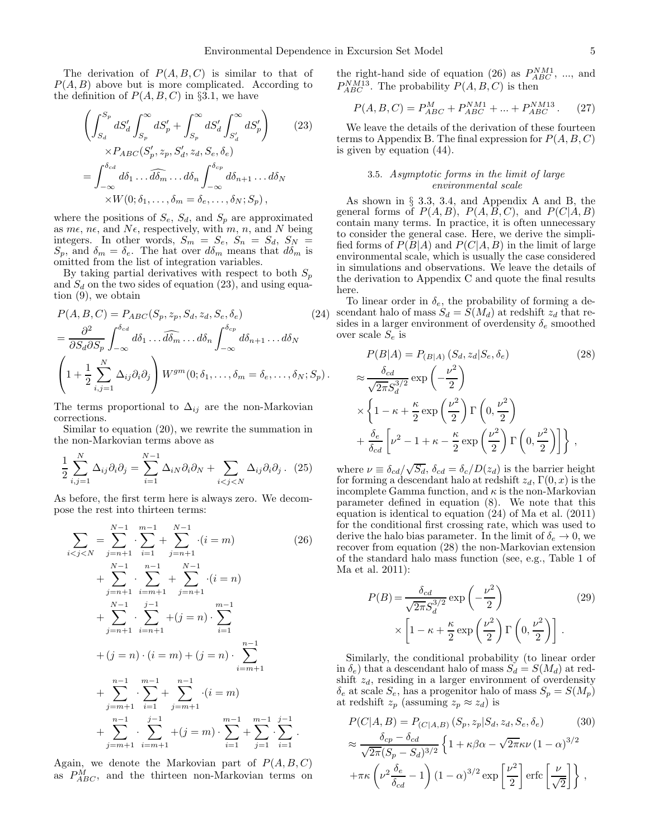The derivation of  $P(A, B, C)$  is similar to that of  $P(A, B)$  above but is more complicated. According to the definition of  $P(A, B, C)$  in §3.1, we have

$$
\left(\int_{S_d}^{S_p} dS'_d \int_{S_p}^{\infty} dS'_p + \int_{S_p}^{\infty} dS'_d \int_{S'_d}^{\infty} dS'_p\right) \qquad (23)
$$
  
\n
$$
\times P_{ABC}(S'_p, z_p, S'_d, z_d, S_e, \delta_e)
$$
  
\n
$$
= \int_{-\infty}^{\delta_{cd}} d\delta_1 \dots \widehat{d\delta_m} \dots d\delta_n \int_{-\infty}^{\delta_{cp}} d\delta_{n+1} \dots d\delta_N
$$
  
\n
$$
\times W(0; \delta_1, \dots, \delta_m = \delta_e, \dots, \delta_N; S_p),
$$

where the positions of  $S_e$ ,  $S_d$ , and  $S_p$  are approximated as  $m\epsilon$ ,  $n\epsilon$ , and  $N\epsilon$ , respectively, with m, n, and N being integers. In other words,  $S_m = S_e$ ,  $S_n = S_d$ ,  $S_N =$  $S_p$ , and  $\delta_m = \delta_e$ . The hat over  $d\delta_m$  means that  $d\delta_m$  is omitted from the list of integration variables.

By taking partial derivatives with respect to both  $S_p$ and  $S_d$  on the two sides of equation (23), and using equation (9), we obtain

$$
P(A, B, C) = P_{ABC}(S_p, z_p, S_d, z_d, S_e, \delta_e)
$$
\n
$$
= \frac{\partial^2}{\partial S_d \partial S_p} \int_{-\infty}^{\delta_{cd}} d\delta_1 \dots d\delta_m \dots d\delta_n \int_{-\infty}^{\delta_{cp}} d\delta_{n+1} \dots d\delta_N
$$
\n
$$
\left(1 + \frac{1}{2} \sum_{i,j=1}^N \Delta_{ij} \partial_i \partial_j\right) W^{gm}(0; \delta_1, \dots, \delta_m = \delta_e, \dots, \delta_N; S_p).
$$
\n(24)

The terms proportional to  $\Delta_{ij}$  are the non-Markovian corrections.

Similar to equation (20), we rewrite the summation in the non-Markovian terms above as

$$
\frac{1}{2} \sum_{i,j=1}^{N} \Delta_{ij} \partial_i \partial_j = \sum_{i=1}^{N-1} \Delta_{iN} \partial_i \partial_j + \sum_{i < j < N} \Delta_{ij} \partial_i \partial_j. \tag{25}
$$

As before, the first term here is always zero. We decompose the rest into thirteen terms:

$$
\sum_{i < j < N} = \sum_{j=n+1}^{N-1} \sum_{i=1}^{m-1} + \sum_{j=n+1}^{N-1} \cdot (i = m) \tag{26}
$$
\n
$$
+ \sum_{j=n+1}^{N-1} \sum_{i=m+1}^{n-1} + \sum_{j=n+1}^{N-1} \cdot (i = n) \newline + \sum_{j=n+1}^{N-1} \sum_{i=n+1}^{j-1} + (j = n) \cdot \sum_{i=1}^{m-1} \newline + (j = n) \cdot (i = m) + (j = n) \cdot \sum_{i=m+1}^{n-1} \newline + \sum_{j=m+1}^{n-1} \sum_{i=1}^{m-1} + \sum_{j=m+1}^{n-1} \cdot (i = m) \newline + \sum_{j=m+1}^{n-1} \sum_{i=1}^{j-1} + (j = m) \cdot \sum_{i=1}^{m-1} + \sum_{j=1}^{j-1} \cdot \sum_{i=1}^{j-1} \newline + \sum_{i=m+1}^{n-1} \sum_{i=m+1}^{j-1} + (j = m) \cdot \sum_{i=1}^{m-1} + \sum_{j=1}^{j-1} \cdot \sum_{i=1}^{j-1} \newline
$$

Again, we denote the Markovian part of  $P(A, B, C)$ as  $P_{ABC}^M$ , and the thirteen non-Markovian terms on the right-hand side of equation (26) as  $P_{ABC}^{NM1}$ , ..., and  $P_{ABC}^{NM13}$ . The probability  $P(A, B, C)$  is then

$$
P(A, B, C) = P_{ABC}^{M} + P_{ABC}^{NM1} + \dots + P_{ABC}^{NM13}.
$$
 (27)

We leave the details of the derivation of these fourteen terms to Appendix B. The final expression for  $P(A, B, C)$ is given by equation (44).

## 3.5. *Asymptotic forms in the limit of large environmental scale*

As shown in § 3.3, 3.4, and Appendix A and B, the general forms of  $P(A, B), P(A, B, C)$ , and  $P(C|A, B)$ contain many terms. In practice, it is often unnecessary to consider the general case. Here, we derive the simplified forms of  $P(B|A)$  and  $P(C|A, B)$  in the limit of large environmental scale, which is usually the case considered in simulations and observations. We leave the details of the derivation to Appendix C and quote the final results here.

To linear order in  $\delta_e$ , the probability of forming a descendant halo of mass  $S_d = \overline{S}(M_d)$  at redshift  $z_d$  that resides in a larger environment of overdensity  $\delta_e$  smoothed over scale  $S_e$  is

$$
P(B|A) = P_{(B|A)} (S_d, z_d | S_e, \delta_e)
$$
\n
$$
\approx \frac{\delta_{cd}}{\sqrt{2\pi} S_d^{3/2}} \exp\left(-\frac{\nu^2}{2}\right)
$$
\n
$$
\times \left\{1 - \kappa + \frac{\kappa}{2} \exp\left(\frac{\nu^2}{2}\right) \Gamma\left(0, \frac{\nu^2}{2}\right) + \frac{\delta_e}{\delta_{cd}} \left[\nu^2 - 1 + \kappa - \frac{\kappa}{2} \exp\left(\frac{\nu^2}{2}\right) \Gamma\left(0, \frac{\nu^2}{2}\right)\right]\right\},
$$
\n(28)

where  $\nu \equiv \delta_{cd}/\sqrt{S_d}$ ,  $\delta_{cd} = \delta_c/D(z_d)$  is the barrier height for forming a descendant halo at redshift  $z_d$ ,  $\Gamma(0, x)$  is the incomplete Gamma function, and  $\kappa$  is the non-Markovian parameter defined in equation (8). We note that this equation is identical to equation (24) of Ma et al. (2011) for the conditional first crossing rate, which was used to derive the halo bias parameter. In the limit of  $\delta_e \to 0$ , we recover from equation (28) the non-Markovian extension of the standard halo mass function (see, e.g., Table 1 of Ma et al. 2011):

$$
P(B) = \frac{\delta_{cd}}{\sqrt{2\pi}S_d^{3/2}} \exp\left(-\frac{\nu^2}{2}\right)
$$
  
 
$$
\times \left[1 - \kappa + \frac{\kappa}{2} \exp\left(\frac{\nu^2}{2}\right) \Gamma\left(0, \frac{\nu^2}{2}\right)\right].
$$
 (29)

Similarly, the conditional probability (to linear order in  $\delta_e$ ) that a descendant halo of mass  $S_d = S(M_d)$  at redshift  $z_d$ , residing in a larger environment of overdensity  $\delta_e$  at scale  $S_e$ , has a progenitor halo of mass  $S_p = S(M_p)$ at redshift  $z_p$  (assuming  $z_p \approx z_d$ ) is

$$
P(C|A, B) = P_{(C|A, B)}(S_p, z_p | S_d, z_d, S_e, \delta_e)
$$
(30)  

$$
\approx \frac{\delta_{cp} - \delta_{cd}}{\sqrt{2\pi}(S_p - S_d)^{3/2}} \left\{ 1 + \kappa \beta \alpha - \sqrt{2\pi} \kappa \nu \left( 1 - \alpha \right)^{3/2} + \pi \kappa \left( \nu^2 \frac{\delta_e}{\delta_{cd}} - 1 \right) \left( 1 - \alpha \right)^{3/2} \exp\left[ \frac{\nu^2}{2} \right] \text{erfc}\left[ \frac{\nu}{\sqrt{2}} \right] \right\},
$$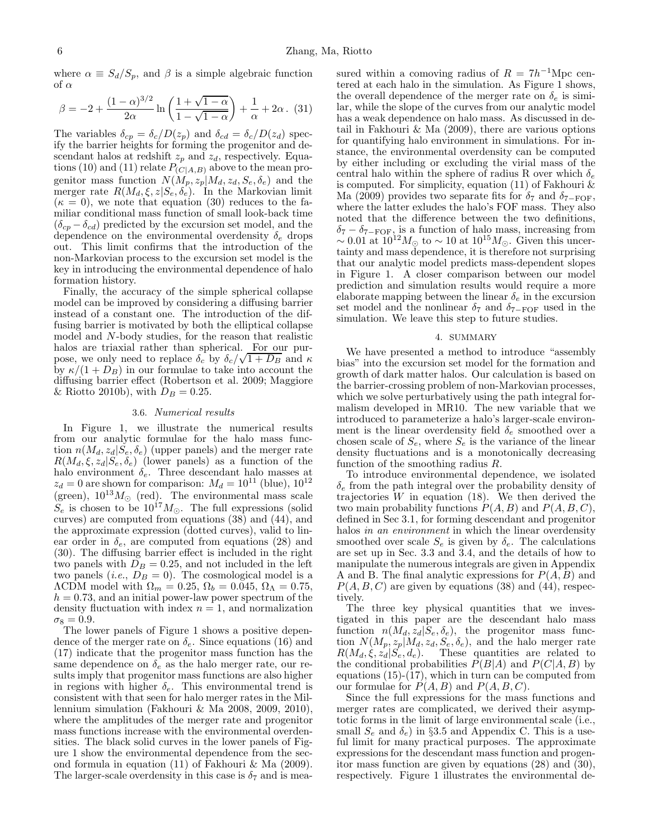where  $\alpha \equiv S_d/S_p$ , and  $\beta$  is a simple algebraic function of  $\alpha$ 

$$
\beta = -2 + \frac{(1 - \alpha)^{3/2}}{2\alpha} \ln \left( \frac{1 + \sqrt{1 - \alpha}}{1 - \sqrt{1 - \alpha}} \right) + \frac{1}{\alpha} + 2\alpha. (31)
$$

The variables  $\delta_{cp} = \delta_c/D(z_p)$  and  $\delta_{cd} = \delta_c/D(z_d)$  specify the barrier heights for forming the progenitor and descendant halos at redshift  $z_p$  and  $z_d$ , respectively. Equations (10) and (11) relate  $P_{(C|A,B)}$  above to the mean progenitor mass function  $N(M_p, z_p|M_d, z_d, S_e, \delta_e)$  and the merger rate  $R(M_d, \xi, z | S_e, \delta_e)$ . In the Markovian limit  $(\kappa = 0)$ , we note that equation (30) reduces to the familiar conditional mass function of small look-back time  $(\delta_{cp} - \delta_{cd})$  predicted by the excursion set model, and the dependence on the environmental overdensity  $\delta_e$  drops out. This limit confirms that the introduction of the non-Markovian process to the excursion set model is the key in introducing the environmental dependence of halo formation history.

Finally, the accuracy of the simple spherical collapse model can be improved by considering a diffusing barrier instead of a constant one. The introduction of the diffusing barrier is motivated by both the elliptical collapse model and N-body studies, for the reason that realistic halos are triaxial rather than spherical. For our purpose, we only need to replace  $\delta_c$  by  $\delta_c/\sqrt{1+D_B}$  and  $\kappa$ by  $\kappa/(1 + D_B)$  in our formulae to take into account the diffusing barrier effect (Robertson et al. 2009; Maggiore & Riotto 2010b), with  $D_B = 0.25$ .

### 3.6. *Numerical results*

In Figure 1, we illustrate the numerical results from our analytic formulae for the halo mass function  $n(M_d, z_d|S_e, \delta_e)$  (upper panels) and the merger rate  $R(M_d, \xi, z_d | S_e, \delta_e)$  (lower panels) as a function of the halo environment  $\delta_e$ . Three descendant halo masses at  $z_d = 0$  are shown for comparison:  $M_d = 10^{11}$  (blue),  $10^{12}$ (green),  $10^{13} M_{\odot}$  (red). The environmental mass scale  $S_e$  is chosen to be  $10^{17}M_{\odot}$ . The full expressions (solid curves) are computed from equations (38) and (44), and the approximate expression (dotted curves), valid to linear order in  $\delta_e$ , are computed from equations (28) and (30). The diffusing barrier effect is included in the right two panels with  $D_B = 0.25$ , and not included in the left two panels (*i.e.*,  $D_B = 0$ ). The cosmological model is a  $\Lambda$ CDM model with  $\Omega_m = 0.25, \Omega_b = 0.045, \Omega_\Lambda = 0.75,$  $h = 0.73$ , and an initial power-law power spectrum of the density fluctuation with index  $n = 1$ , and normalization  $\sigma_8 = 0.9$ .

The lower panels of Figure 1 shows a positive dependence of the merger rate on  $\delta_e$ . Since equations (16) and (17) indicate that the progenitor mass function has the same dependence on  $\delta_e$  as the halo merger rate, our results imply that progenitor mass functions are also higher in regions with higher  $\delta_e$ . This environmental trend is consistent with that seen for halo merger rates in the Millennium simulation (Fakhouri & Ma 2008, 2009, 2010), where the amplitudes of the merger rate and progenitor mass functions increase with the environmental overdensities. The black solid curves in the lower panels of Figure 1 show the environmental dependence from the second formula in equation (11) of Fakhouri & Ma (2009). The larger-scale overdensity in this case is  $\delta_7$  and is mea-

sured within a comoving radius of  $R = 7h^{-1}$ Mpc centered at each halo in the simulation. As Figure 1 shows, the overall dependence of the merger rate on  $\delta_e$  is similar, while the slope of the curves from our analytic model has a weak dependence on halo mass. As discussed in detail in Fakhouri & Ma (2009), there are various options for quantifying halo environment in simulations. For instance, the environmental overdensity can be computed by either including or excluding the virial mass of the central halo within the sphere of radius R over which  $\delta_e$ is computed. For simplicity, equation  $(11)$  of Fakhouri  $\&$ Ma (2009) provides two separate fits for  $\delta_7$  and  $\delta_{7-\text{FOF}}$ , where the latter exludes the halo's FOF mass. They also noted that the difference between the two definitions,  $\delta_7 - \delta_{7-\text{FOF}}$ , is a function of halo mass, increasing from  $\sim 0.01$  at  $10^{12} M_{\odot}$  to  $\sim 10$  at  $10^{15} M_{\odot}$ . Given this uncertainty and mass dependence, it is therefore not surprising that our analytic model predicts mass-dependent slopes in Figure 1. A closer comparison between our model prediction and simulation results would require a more elaborate mapping between the linear  $\delta_e$  in the excursion set model and the nonlinear  $\delta_7$  and  $\delta_{7-FOF}$  used in the simulation. We leave this step to future studies.

### 4. SUMMARY

We have presented a method to introduce "assembly bias" into the excursion set model for the formation and growth of dark matter halos. Our calculation is based on the barrier-crossing problem of non-Markovian processes, which we solve perturbatively using the path integral formalism developed in MR10. The new variable that we introduced to parameterize a halo's larger-scale environment is the linear overdensity field  $\delta_e$  smoothed over a chosen scale of  $S_e$ , where  $S_e$  is the variance of the linear density fluctuations and is a monotonically decreasing function of the smoothing radius R.

To introduce environmental dependence, we isolated  $\delta_e$  from the path integral over the probability density of trajectories  $W$  in equation (18). We then derived the two main probability functions  $P(A, B)$  and  $P(A, B, C)$ , defined in Sec 3.1, for forming descendant and progenitor halos *in an environment* in which the linear overdensity smoothed over scale  $S_e$  is given by  $\delta_e$ . The calculations are set up in Sec. 3.3 and 3.4, and the details of how to manipulate the numerous integrals are given in Appendix A and B. The final analytic expressions for  $P(A, B)$  and  $P(A, B, C)$  are given by equations (38) and (44), respectively.

The three key physical quantities that we investigated in this paper are the descendant halo mass function  $n(M_d, \bar{z}_d | \bar{S}_e, \delta_e)$ , the progenitor mass function  $N(M_p, z_p|M_d, z_d, S_e, \delta_e)$ , and the halo merger rate  $R(M_d, \xi, z_d | S_e, d_e)$ . These quantities are related to the conditional probabilities  $P(B|A)$  and  $P(C|A, B)$  by equations  $(15)-(17)$ , which in turn can be computed from our formulae for  $P(A, B)$  and  $P(A, B, C)$ .

Since the full expressions for the mass functions and merger rates are complicated, we derived their asymptotic forms in the limit of large environmental scale (i.e., small  $S_e$  and  $\delta_e$ ) in §3.5 and Appendix C. This is a useful limit for many practical purposes. The approximate expressions for the descendant mass function and progenitor mass function are given by equations (28) and (30), respectively. Figure 1 illustrates the environmental de-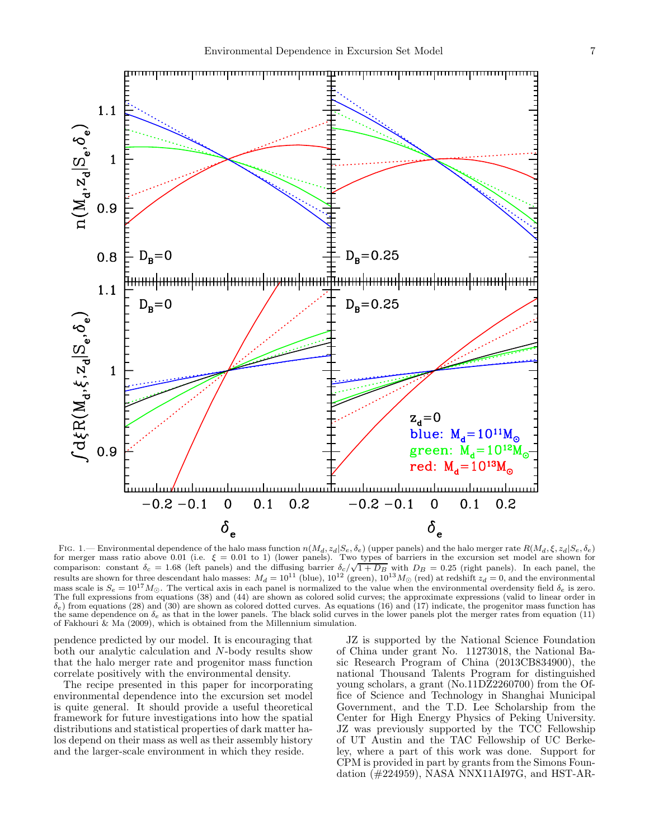

FIG. 1.— Environmental dependence of the halo mass function  $n(M_d, z_d|S_e, \delta_e)$  (upper panels) and the halo merger rate  $R(M_d, \xi, z_d|S_e, \delta_e)$  for merger mass ratio above 0.01 (i.e.  $\xi = 0.01$  to 1) (lower panels). Two types of comparison: constant  $\delta_c = 1.68$  (left panels) and the diffusing barrier  $\delta_c/\sqrt{1+D_B}$  with  $D_B = 0.25$  (right panels). In each panel, the results are shown for three descendant halo masses:  $M_d = 10^{11}$  (blue),  $10^{12}$  ( mass scale is  $S_e = 10^{17} M_{\odot}$ . The vertical axis in each panel is normalized to the value when the environmental overdensity field  $\delta_e$  is zero. The full expressions from equations (38) and (44) are shown as colored solid curves; the approximate expressions (valid to linear order in  $\delta_e$ ) from equations (28) and (30) are shown as colored dotted curves. As equations (16) and (17) indicate, the progenitor mass function has the same dependence on  $\delta_e$  as that in the lower panels. The black solid curves in the lower panels plot the merger rates from equation (11) of Fakhouri & Ma (2009), which is obtained from the Millennium simulation.

pendence predicted by our model. It is encouraging that both our analytic calculation and N-body results show that the halo merger rate and progenitor mass function correlate positively with the environmental density.

The recipe presented in this paper for incorporating environmental dependence into the excursion set model is quite general. It should provide a useful theoretical framework for future investigations into how the spatial distributions and statistical properties of dark matter halos depend on their mass as well as their assembly history and the larger-scale environment in which they reside.

JZ is supported by the National Science Foundation of China under grant No. 11273018, the National Basic Research Program of China (2013CB834900), the national Thousand Talents Program for distinguished young scholars, a grant (No.11DZ2260700) from the Office of Science and Technology in Shanghai Municipal Government, and the T.D. Lee Scholarship from the Center for High Energy Physics of Peking University. JZ was previously supported by the TCC Fellowship of UT Austin and the TAC Fellowship of UC Berkeley, where a part of this work was done. Support for CPM is provided in part by grants from the Simons Foundation (#224959), NASA NNX11AI97G, and HST-AR-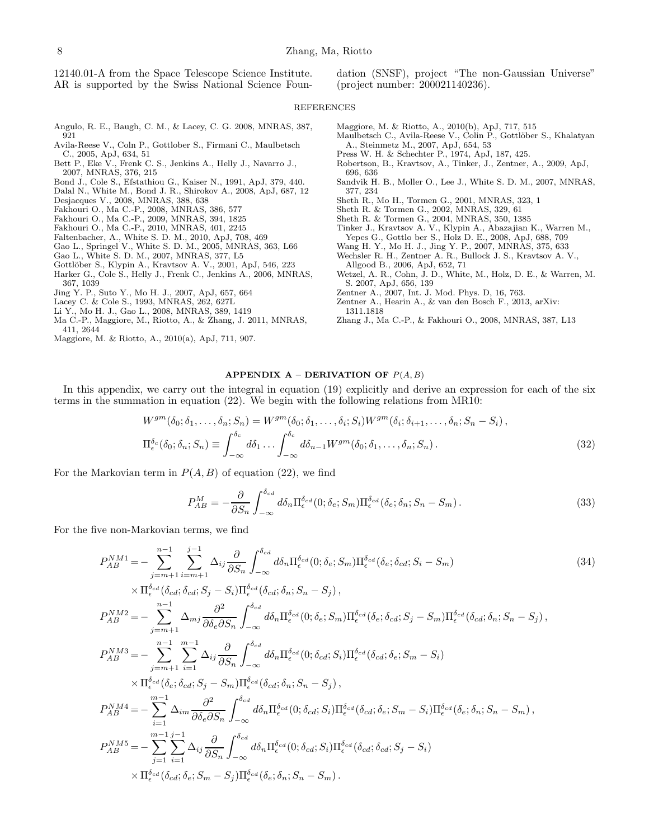12140.01-A from the Space Telescope Science Institute. AR is supported by the Swiss National Science Foundation (SNSF), project "The non-Gaussian Universe" (project number: 200021140236).

#### REFERENCES

- Angulo, R. E., Baugh, C. M., & Lacey, C. G. 2008, MNRAS, 387, 921
- Avila-Reese V., Coln P., Gottlober S., Firmani C., Maulbetsch C., 2005, ApJ, 634, 51
- Bett P., Eke V., Frenk C. S., Jenkins A., Helly J., Navarro J., 2007, MNRAS, 376, 215
- Bond J., Cole S., Efstathiou G., Kaiser N., 1991, ApJ, 379, 440.
- Dalal N., White M., Bond J. R., Shirokov A., 2008, ApJ, 687, 12
- Desjacques V., 2008, MNRAS, 388, 638
- Fakhouri O., Ma C.-P., 2008, MNRAS, 386, 577
- Fakhouri O., Ma C.-P., 2009, MNRAS, 394, 1825
- Fakhouri O., Ma C.-P., 2010, MNRAS, 401, 2245
- Faltenbacher, A., White S. D. M., 2010, ApJ, 708, 469
- Gao L., Springel V., White S. D. M., 2005, MNRAS, 363, L66
- Gao L., White S. D. M., 2007, MNRAS, 377, L5
- Gottlöber S., Klypin A., Kravtsov A. V., 2001, ApJ, 546, 223
- Harker G., Cole S., Helly J., Frenk C., Jenkins A., 2006, MNRAS,
- 367, 1039
- Jing Y. P., Suto Y., Mo H. J., 2007, ApJ, 657, 664
- Lacey C. & Cole S., 1993, MNRAS, 262, 627L
- Li Y., Mo H. J., Gao L., 2008, MNRAS, 389, 1419
- Ma C.-P., Maggiore, M., Riotto, A., & Zhang, J. 2011, MNRAS, 411, 2644
- Maggiore, M. & Riotto, A., 2010(a), ApJ, 711, 907.
- Maggiore, M. & Riotto, A., 2010(b), ApJ, 717, 515
- Maulbetsch C., Avila-Reese V., Colin P., Gottlöber S., Khalatyan A., Steinmetz M., 2007, ApJ, 654, 53
- Press W. H. & Schechter P., 1974, ApJ, 187, 425.
- Robertson, B., Kravtsov, A., Tinker, J., Zentner, A., 2009, ApJ, 696, 636
- Sandvik H. B., Moller O., Lee J., White S. D. M., 2007, MNRAS, 377, 234
- Sheth R., Mo H., Tormen G., 2001, MNRAS, 323, 1
- Sheth R. & Tormen G., 2002, MNRAS, 329, 61
- Sheth R. & Tormen G., 2004, MNRAS, 350, 1385
- Tinker J., Kravtsov A. V., Klypin A., Abazajian K., Warren M., Yepes G., Gottlo ber S., Holz D. E., 2008, ApJ, 688, 709
- Wang H. Y., Mo H. J., Jing Y. P., 2007, MNRAS, 375, 633
- Wechsler R. H., Zentner A. R., Bullock J. S., Kravtsov A. V., Allgood B., 2006, ApJ, 652, 71
- Wetzel, A. R., Cohn, J. D., White, M., Holz, D. E., & Warren, M. S. 2007, ApJ, 656, 139
- Zentner A., 2007, Int. J. Mod. Phys. D, 16, 763.
- Zentner A., Hearin A., & van den Bosch F., 2013, arXiv: 1311.1818
- Zhang J., Ma C.-P., & Fakhouri O., 2008, MNRAS, 387, L13

### APPENDIX  $A - DERIVATION$  OF  $P(A, B)$

In this appendix, we carry out the integral in equation (19) explicitly and derive an expression for each of the six terms in the summation in equation (22). We begin with the following relations from MR10:

$$
W^{gm}(\delta_0; \delta_1, \dots, \delta_n; S_n) = W^{gm}(\delta_0; \delta_1, \dots, \delta_i; S_i) W^{gm}(\delta_i; \delta_{i+1}, \dots, \delta_n; S_n - S_i),
$$
  

$$
\Pi_{\epsilon}^{\delta_c}(\delta_0; \delta_n; S_n) \equiv \int_{-\infty}^{\delta_c} d\delta_1 \dots \int_{-\infty}^{\delta_c} d\delta_{n-1} W^{gm}(\delta_0; \delta_1, \dots, \delta_n; S_n).
$$
 (32)

For the Markovian term in  $P(A, B)$  of equation (22), we find

$$
P_{AB}^M = -\frac{\partial}{\partial S_n} \int_{-\infty}^{\delta_{cd}} d\delta_n \Pi_{\epsilon}^{\delta_{cd}}(0; \delta_{\epsilon}; S_m) \Pi_{\epsilon}^{\delta_{cd}}(\delta_{\epsilon}; \delta_n; S_n - S_m). \tag{33}
$$

For the five non-Markovian terms, we find

$$
P_{AB}^{NM1} = -\sum_{j=m+1}^{n-1} \sum_{i=m+1}^{j-1} \Delta_{ij} \frac{\partial}{\partial S_n} \int_{-\infty}^{\delta_{cd}} d\delta_n \Pi_{\epsilon}^{\delta_{cd}}(0; \delta_e; S_m) \Pi_{\epsilon}^{\delta_{cd}}(\delta_e; \delta_{cd}; S_i - S_m)
$$
\n
$$
\times \Pi_{\epsilon}^{\delta_{cd}}(\delta_{cd}; \delta_{cd}; S_j - S_i) \Pi_{\epsilon}^{\delta_{cd}}(\delta_{cd}; \delta_n; S_n - S_j),
$$
\n
$$
P_{AB}^{NM2} = -\sum_{j=m+1}^{n-1} \Delta_{mj} \frac{\partial^2}{\partial \delta_e \partial S_n} \int_{-\infty}^{\delta_{cd}} d\delta_n \Pi_{\epsilon}^{\delta_{cd}}(0; \delta_e; S_m) \Pi_{\epsilon}^{\delta_{cd}}(\delta_e; \delta_{cd}; S_j - S_m) \Pi_{\epsilon}^{\delta_{cd}}(\delta_{cd}; \delta_n; S_n - S_j),
$$
\n
$$
P_{AB}^{NM3} = -\sum_{j=m+1}^{n-1} \sum_{i=1}^{m-1} \Delta_{ij} \frac{\partial}{\partial S_n} \int_{-\infty}^{\delta_{cd}} d\delta_n \Pi_{\epsilon}^{\delta_{cd}}(0; \delta_{cd}; S_i) \Pi_{\epsilon}^{\delta_{cd}}(\delta_{cd}; \delta_e; S_m - S_i)
$$
\n
$$
\times \Pi_{\epsilon}^{\delta_{cd}}(\delta_e; \delta_{cd}; S_j - S_m) \Pi_{\epsilon}^{\delta_{cd}}(\delta_{cd}; \delta_n; S_n - S_j),
$$
\n
$$
P_{AB}^{NM4} = -\sum_{i=1}^{m-1} \Delta_{im} \frac{\partial^2}{\partial \delta_e \partial S_n} \int_{-\infty}^{\delta_{cd}} d\delta_n \Pi_{\epsilon}^{\delta_{cd}}(0; \delta_{cd}; S_i) \Pi_{\epsilon}^{\delta_{cd}}(\delta_{cd}; \delta_e; S_m - S_i) \Pi_{\epsilon}^{\delta_{cd}}(\delta_e; \delta_n; S_n - S_m),
$$
\n
$$
P_{AB}^{NM5} = -\sum_{j=1}^{m-1} \sum_{i=1}^{j-1} \Delta_{ij} \frac{\partial}{\partial S_n} \int_{-\infty}^{\delta_{cd}} d\delta_n \Pi_{\epsilon}^{\delta_{cd}}(0;
$$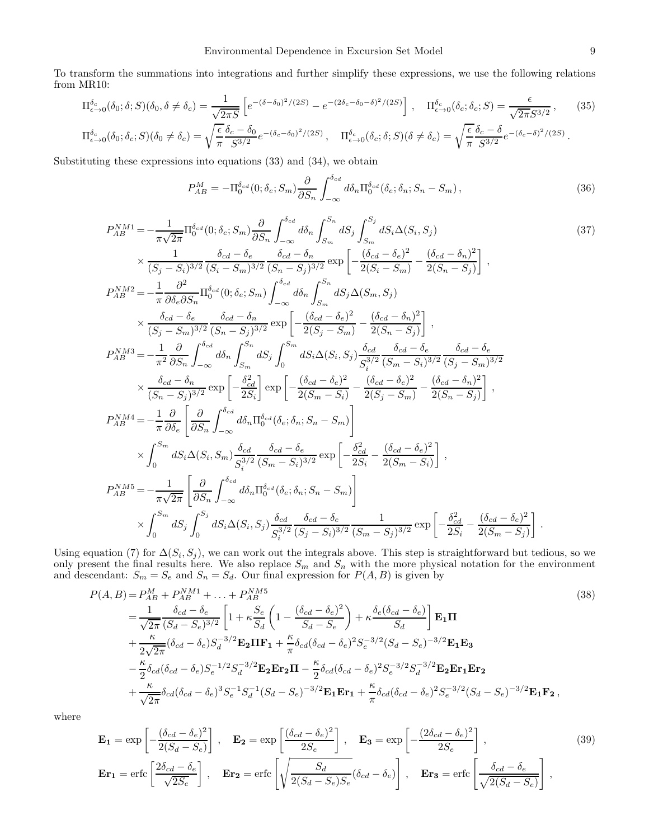To transform the summations into integrations and further simplify these expressions, we use the following relations from MR10:

$$
\Pi_{\epsilon \to 0}^{\delta_c}(\delta_0; \delta; S)(\delta_0, \delta \neq \delta_c) = \frac{1}{\sqrt{2\pi S}} \left[ e^{-(\delta - \delta_0)^2/(2S)} - e^{-(2\delta_c - \delta_0 - \delta)^2/(2S)} \right], \quad \Pi_{\epsilon \to 0}^{\delta_c}(\delta_c; \delta_c; S) = \frac{\epsilon}{\sqrt{2\pi S^{3/2}}}, \quad (35)
$$

$$
\Pi_{\epsilon \to 0}^{\delta_c}(\delta_0; \delta_c; S)(\delta_0 \neq \delta_c) = \sqrt{\frac{\epsilon}{\pi}} \frac{\delta_c - \delta_0}{S^{3/2}} e^{-(\delta_c - \delta_0)^2/(2S)}, \quad \Pi_{\epsilon \to 0}^{\delta_c}(\delta_c; \delta; S)(\delta \neq \delta_c) = \sqrt{\frac{\epsilon}{\pi}} \frac{\delta_c - \delta}{S^{3/2}} e^{-(\delta_c - \delta)^2/(2S)}.
$$

Substituting these expressions into equations (33) and (34), we obtain

$$
P_{AB}^M = -\Pi_0^{\delta_{cd}}(0; \delta_e; S_m) \frac{\partial}{\partial S_n} \int_{-\infty}^{\delta_{cd}} d\delta_n \Pi_0^{\delta_{cd}}(\delta_e; \delta_n; S_n - S_m), \qquad (36)
$$

$$
P_{AB}^{NM1} = -\frac{1}{\pi\sqrt{2\pi}}\Pi_{0}^{\delta_{cd}}(0;\delta_{e};S_{m})\frac{\partial}{\partial S_{n}}\int_{-\infty}^{\delta_{cd}}d\delta_{n}\int_{S_{m}}^{S_{n}}dS_{j}\int_{S_{m}}^{S_{j}}dS_{i}\Delta(S_{i},S_{j})
$$
(37)  

$$
\times \frac{1}{(S_{j}-S_{i})^{3/2}}\frac{\delta_{cd}-\delta_{e}}{(S_{i}-S_{m})^{3/2}}\frac{\delta_{cd}-\delta_{n}}{(S_{i}-S_{j})^{3/2}}\exp\left[-\frac{(\delta_{cd}-\delta_{e})^{2}}{2(S_{i}-S_{m})}-\frac{(\delta_{cd}-\delta_{n})^{2}}{2(S_{n}-S_{j})}\right],
$$

$$
P_{AB}^{NM2} = -\frac{1}{\pi}\frac{\partial^{2}}{\partial \delta_{e}\partial S_{n}}\Pi_{0}^{\delta_{cd}}(0;\delta_{e};S_{m})\int_{-\infty}^{\delta_{cd}}d\delta_{n}\int_{S_{m}}^{S_{m}}dS_{j}\Delta(S_{m},S_{j})
$$

$$
\times \frac{\delta_{cd}-\delta_{e}}{(S_{j}-S_{m})^{3/2}}\frac{\delta_{cd}-\delta_{n}}{(S_{m}-S_{j})^{3/2}}\exp\left[-\frac{(\delta_{cd}-\delta_{e})^{2}}{2(S_{j}-S_{m})}-\frac{(\delta_{cd}-\delta_{n})^{2}}{2(S_{n}-S_{j})}\right],
$$

$$
P_{AB}^{NM3} = -\frac{1}{\pi^{2}}\frac{\partial}{\partial S_{n}}\int_{-\infty}^{\delta_{cd}}d\delta_{n}\int_{S_{m}}^{S_{m}}dS_{j}\int_{0}^{S_{m}}dS_{i}\Delta(S_{i},S_{j})\frac{\delta_{cd}}{S_{i}^{3/2}}\frac{\delta_{cd}-\delta_{e}}{(S_{m}-S_{i})^{3/2}}\frac{\delta_{cd}-\delta_{e}}{(S_{j}-S_{m})^{3/2}}
$$

$$
\times \frac{\delta_{cd}-\delta_{n}}{(S_{n}-S_{j})^{3/2}}\exp\left[-\frac{\delta_{cd}}{2S_{n}}\right]\exp\left[-\frac{(\delta_{cd}-\delta_{e})^{2}}{2(S_{m}-S_{i})}-\frac{(\delta_{cd}-\delta_{e
$$

Using equation (7) for  $\Delta(S_i, S_j)$ , we can work out the integrals above. This step is straightforward but tedious, so we only present the final results here. We also replace  $S_m$  and  $S_n$  with the more physical notation for the environment and descendant:  $S_m = S_e$  and  $S_n = S_d$ . Our final expression for  $P(A, B)$  is given by

$$
P(A, B) = P_{AB}^{M} + P_{AB}^{NM1} + \dots + P_{AB}^{NM5}
$$
\n
$$
= \frac{1}{\sqrt{2\pi}} \frac{\delta_{cd} - \delta_{e}}{(S_{d} - S_{e})^{3/2}} \left[ 1 + \kappa \frac{S_{e}}{S_{d}} \left( 1 - \frac{(\delta_{cd} - \delta_{e})^{2}}{S_{d} - S_{e}} \right) + \kappa \frac{\delta_{e}(\delta_{cd} - \delta_{e})}{S_{d}} \right] \mathbf{E}_{1} \Pi
$$
\n
$$
+ \frac{\kappa}{2\sqrt{2\pi}} (\delta_{cd} - \delta_{e}) S_{d}^{-3/2} \mathbf{E}_{2} \Pi \mathbf{F}_{1} + \frac{\kappa}{\pi} \delta_{cd} (\delta_{cd} - \delta_{e})^{2} S_{e}^{-3/2} (S_{d} - S_{e})^{-3/2} \mathbf{E}_{1} \mathbf{E}_{3}
$$
\n
$$
- \frac{\kappa}{2} \delta_{cd} (\delta_{cd} - \delta_{e}) S_{e}^{-1/2} S_{d}^{-3/2} \mathbf{E}_{2} \mathbf{E} \mathbf{r}_{2} \Pi - \frac{\kappa}{2} \delta_{cd} (\delta_{cd} - \delta_{e})^{2} S_{e}^{-3/2} S_{d}^{-3/2} \mathbf{E}_{2} \mathbf{E} \mathbf{r}_{1} \mathbf{E} \mathbf{r}_{2}
$$
\n
$$
+ \frac{\kappa}{\sqrt{2\pi}} \delta_{cd} (\delta_{cd} - \delta_{e})^{3} S_{e}^{-1} S_{d}^{-1} (S_{d} - S_{e})^{-3/2} \mathbf{E}_{1} \mathbf{E} \mathbf{r}_{1} + \frac{\kappa}{\pi} \delta_{cd} (\delta_{cd} - \delta_{e})^{2} S_{e}^{-3/2} (S_{d} - S_{e})^{-3/2} \mathbf{E}_{1} \mathbf{F}_{2},
$$
\n(38)

where

$$
\mathbf{E_1} = \exp\left[-\frac{(\delta_{cd} - \delta_e)^2}{2(S_d - S_e)}\right], \quad \mathbf{E_2} = \exp\left[\frac{(\delta_{cd} - \delta_e)^2}{2S_e}\right], \quad \mathbf{E_3} = \exp\left[-\frac{(2\delta_{cd} - \delta_e)^2}{2S_e}\right],
$$
\n
$$
\mathbf{E_1} = \text{erfc}\left[\frac{2\delta_{cd} - \delta_e}{\sqrt{2S_e}}\right], \quad \mathbf{E_2} = \text{erfc}\left[\sqrt{\frac{S_d}{2(S_d - S_e)S_e}}(\delta_{cd} - \delta_e)\right], \quad \mathbf{E_3} = \text{erfc}\left[\frac{\delta_{cd} - \delta_e}{\sqrt{2(S_d - S_e)}}\right],
$$
\n(39)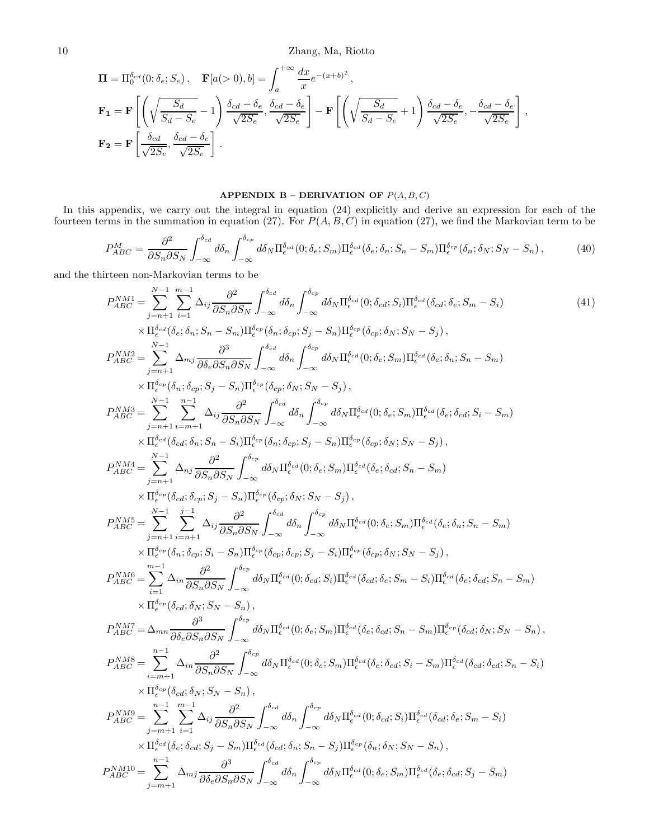10 Zhang, Ma, Riotto

$$
\begin{split} \mathbf{\Pi} &= \Pi_0^{\delta_{cd}}(0;\delta_e;S_e)\,, \quad \mathbf{F}[a(>0),b] = \int_a^{+\infty} \frac{dx}{x} e^{-(x+b)^2}\,, \\ \mathbf{F}_1 &= \mathbf{F}\left[\left(\sqrt{\frac{S_d}{S_d - S_e}} - 1\right) \frac{\delta_{cd} - \delta_e}{\sqrt{2S_e}}, \frac{\delta_{cd} - \delta_e}{\sqrt{2S_e}}\right] - \mathbf{F}\left[\left(\sqrt{\frac{S_d}{S_d - S_e}} + 1\right) \frac{\delta_{cd} - \delta_e}{\sqrt{2S_e}}, -\frac{\delta_{cd} - \delta_e}{\sqrt{2S_e}}\right]\,, \\ \mathbf{F}_2 &= \mathbf{F}\left[\frac{\delta_{cd}}{\sqrt{2S_e}}, \frac{\delta_{cd} - \delta_e}{\sqrt{2S_e}}\right]\,. \end{split}
$$

# APPENDIX B – DERIVATION OF  $P(A, B, C)$

In this appendix, we carry out the integral in equation (24) explicitly and derive an expression for each of the fourteen terms in the summation in equation (27). For  $P(A, B, C)$  in equation (27), we find the Markovian term to be

$$
P_{ABC}^M = \frac{\partial^2}{\partial S_n \partial S_N} \int_{-\infty}^{\delta_{cd}} d\delta_n \int_{-\infty}^{\delta_{cp}} d\delta_N \Pi_{\epsilon}^{\delta_{cd}}(0; \delta_e; S_m) \Pi_{\epsilon}^{\delta_{cd}}(\delta_e; \delta_n; S_n - S_m) \Pi_{\epsilon}^{\delta_{cp}}(\delta_n; \delta_N; S_N - S_n), \tag{40}
$$

and the thirteen non-Markovian terms to be

$$
P_{ABC}^{NMI} = \sum_{j=n+1}^{N-1} \sum_{i=1}^{m-1} \Delta_{ij} \frac{\partial^2}{\partial S_n \partial S_N} \int_{-\infty}^{\delta_{cd}} d\delta_n \int_{-\infty}^{\delta_{cp}} d\delta_N \Pi_{\epsilon}^{\delta_{cd}}(0; \delta_{ci}; S_i) \Pi_{\epsilon}^{\delta_{cd}}(\delta_{ci}; \delta_i; S_m - S_i)
$$
\n
$$
\times \Pi_{\epsilon}^{\delta_{cd}}(\delta_{ci}; \delta_n; S_n - S_m) \Pi_{\epsilon}^{\delta_{cp}}(\delta_n; \delta_{cp}; S_j - S_m) \Pi_{\epsilon}^{\delta_{cp}}(\delta_{cp}; \delta_N; S_N - S_j),
$$
\n
$$
P_{ABC}^{NAP} = \sum_{j=n+1}^{N-1} \Delta_{mj} \frac{\partial^3}{\partial \delta_c \partial S_n \partial S_N} \int_{-\infty}^{\delta_{ad}} d\delta_n \int_{-\infty}^{\delta_{cp}} d\delta_N \Pi_{\epsilon}^{\delta_{ci}}(0; \delta_i; S_m) \Pi_{\epsilon}^{\delta_{ci}}(\delta_i; \delta_n; S_n - S_m)
$$
\n
$$
\times \Pi_{\epsilon}^{\delta_{cp}}(\delta_n; \delta_{cp}; S_j - S_n) \Pi_{\epsilon}^{\delta_{cd}}(\delta_{cp}; \delta_N; S_N - S_j),
$$
\n
$$
P_{ABC}^{NAB} = \sum_{j=n+1}^{N-1} \sum_{i=m+1}^{n-1} \Delta_{ij} \frac{\partial^2}{\partial S_n \partial S_N} \int_{-\infty}^{\delta_{cd}} d\delta_n \int_{-\infty}^{\delta_{cp}} d\delta_N \Pi_{\epsilon}^{\delta_{cj}}(0; \delta_i; S_m) \Pi_{\epsilon}^{\delta_{ci}}(\delta_i; \delta_{ci}; S_n - S_m)
$$
\n
$$
\times \Pi_{\epsilon}^{\delta_{cj}}(\delta_{cd}; \delta_n; S_n - S_i) \Pi_{\epsilon}^{\delta_{cp}}(\delta_n; \delta_{cp}; S_j - S_n) \Pi_{\epsilon}^{\delta_{cj}}(\delta_{cp}; \delta_N; S_N - S_j),
$$
\n
$$
P_{ABC}^{NAB} = \sum_{j=n+1}^{N-1} \sum_{i=1}^{N} \Delta_{ij} \frac{\partial^2}{\partial S_n \partial S_N} \int_{-\infty}^{\delta_{bi}} d\delta_N \Pi_{\epsilon
$$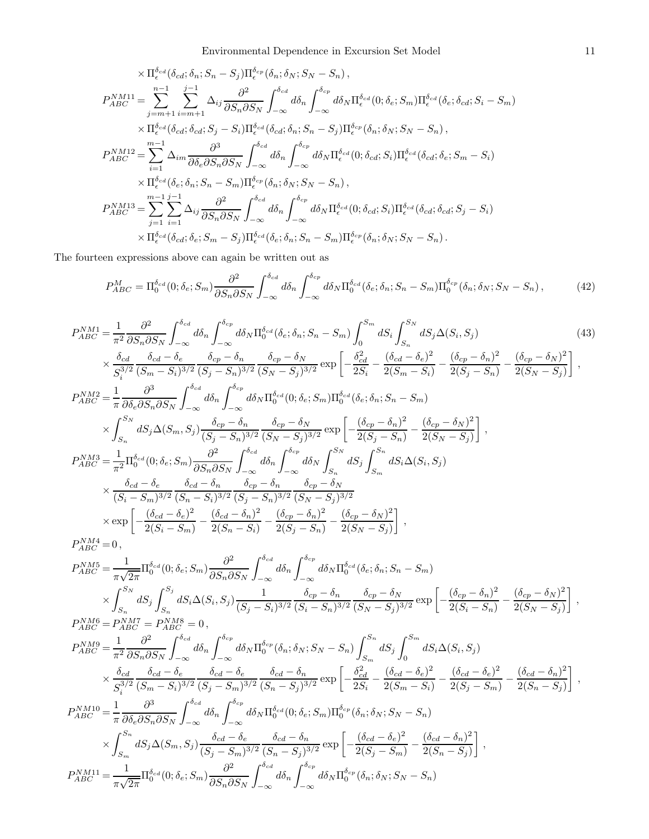$$
\times \Pi_{\epsilon}^{\delta_{cd}}(\delta_{cd};\delta_{n};S_{n}-S_{j})\Pi_{\epsilon}^{\delta_{cp}}(\delta_{n};\delta_{N};S_{N}-S_{n}),
$$
\n
$$
P_{ABC}^{NM11} = \sum_{j=m+1}^{n-1} \sum_{i=m+1}^{j-1} \Delta_{ij} \frac{\partial^{2}}{\partial S_{n} \partial S_{N}} \int_{-\infty}^{\delta_{cd}} d\delta_{n} \int_{-\infty}^{\delta_{cp}} d\delta_{N} \Pi_{\epsilon}^{\delta_{cd}}(0;\delta_{e};S_{m})\Pi_{\epsilon}^{\delta_{cd}}(\delta_{e};\delta_{cd};S_{i}-S_{m})
$$
\n
$$
\times \Pi_{\epsilon}^{\delta_{cd}}(\delta_{cd};\delta_{cd};S_{j}-S_{i})\Pi_{\epsilon}^{\delta_{cd}}(\delta_{cd};\delta_{n};S_{n}-S_{j})\Pi_{\epsilon}^{\delta_{cp}}(\delta_{n};\delta_{N};S_{N}-S_{n}),
$$
\n
$$
P_{ABC}^{NM12} = \sum_{i=1}^{m-1} \Delta_{im} \frac{\partial^{3}}{\partial \delta_{e} \partial S_{n} \partial S_{N}} \int_{-\infty}^{\delta_{cd}} d\delta_{n} \int_{-\infty}^{\delta_{cp}} d\delta_{N} \Pi_{\epsilon}^{\delta_{cd}}(0;\delta_{cd};S_{i})\Pi_{\epsilon}^{\delta_{cd}}(\delta_{cd};\delta_{e};S_{m}-S_{i})
$$
\n
$$
\times \Pi_{\epsilon}^{\delta_{cd}}(\delta_{e};\delta_{n};S_{n}-S_{m})\Pi_{\epsilon}^{\delta_{cp}}(\delta_{n};\delta_{N};S_{N}-S_{n}),
$$
\n
$$
P_{ABC}^{NM13} = \sum_{j=1}^{m-1} \sum_{i=1}^{j-1} \Delta_{ij} \frac{\partial^{2}}{\partial S_{n} \partial S_{N}} \int_{-\infty}^{\delta_{cd}} d\delta_{n} \int_{-\infty}^{\delta_{cp}} d\delta_{N} \Pi_{\epsilon}^{\delta_{cd}}(0;\delta_{cd};S_{i})\Pi_{\epsilon}^{\delta_{cd}}(\delta_{cd};\delta_{cd};S_{j}-S_{i})
$$
\n
$$
\times \Pi_{\epsilon}^{\delta_{cd}}(\delta_{cd};\delta_{e};S_{m}-S_{j})\Pi_{\epsilon}^{\delta_{cd
$$

The fourteen expressions above can again be written out as

$$
P_{ABC}^M = \Pi_0^{\delta_{cd}}(0; \delta_e; S_m) \frac{\partial^2}{\partial S_n \partial S_N} \int_{-\infty}^{\delta_{cd}} d\delta_n \int_{-\infty}^{\delta_{cp}} d\delta_N \Pi_0^{\delta_{cd}}(\delta_e; \delta_n; S_n - S_m) \Pi_0^{\delta_{cp}}(\delta_n; \delta_N; S_N - S_n), \tag{42}
$$

$$
P_{ABC}^{NMt} = \frac{1}{\pi^2} \frac{\partial^2}{\partial S_n \partial S_N} \int_{-\infty}^{\delta_{od}} d\delta_n \int_{-\infty}^{\delta_{od}} d\delta_n \Pi_0^{\delta_{od}} (\delta_i, \delta_n; S_n - S_m) \int_0^{S_m} dS_i \int_{S_n}^{S_N} dS_j \Delta(S_i, S_j)
$$
(43)  

$$
\times \frac{\delta_{cd} d}{S_1^{3/2}} \frac{\delta_{cd} - \delta_{ac} - \delta_m}{S_{cd} - S_1^{3/2}} \frac{\delta_{cp} - \delta_N}{S_N - S_1^{3/2}} \frac{\delta_{cp} - \delta_N}{S_N - S_1^{3/2}} \frac{\delta_{cd} - \delta_N}{S_N - S_1^{3/2}} \frac{\delta_{cd} - \delta_N}{S_N - S_N^{3/2}} - \frac{(\delta_{cp} - \delta_n)^2}{2(S_I - S_n)} - \frac{(\delta_{cp} - \delta_n)^2}{2(S_I - S_n)} - \frac{(\delta_{cp} - \delta_n)^2}{2(S_I - S_n)} \frac{\delta_{cd} - \delta_N}{2(S_N - S_1)} \frac{\delta_{cd} - \delta_N}{2(S_N - S_1)} \frac{\delta_{cd} - \delta_N}{2(S_N - S_1)} \frac{\delta_{cd} - \delta_N}{2(S_N - S_1)} - \frac{(\delta_{cp} - \delta_N)^2}{2(S_N - S_1)} \frac{\delta_{cd} - \delta_N}{2(S_N - S_1)} \frac{\delta_{cd} - \delta_N}{2(S_N - S_1)} \frac{\delta_{cd} - \delta_N}{2(S_N - S_1)} \frac{\delta_{cd} - \delta_N}{2(S_N - S_1)} \frac{\delta_{cd} - \delta_N}{S_N} \frac{\delta_{cd} - \delta_N}{S_N} \frac{\delta_{cd} - \delta_N}{S_N} \frac{\delta_{cd} - \delta_N}{S_N} \frac{\delta_{cd} - \delta_N}{S_N} \frac{\delta_{cd} - \delta_N}{S_N} \frac{\delta_{cd} - \delta_N}{S_N} \frac{\delta_{cd} - \delta_N}{S_N} \frac{\delta_{cd} - \delta_N}{S_N} \frac{\delta_{cd} - \delta_N}{S_N} \frac{\delta_{cd} - \delta_N}{S_N} \frac{\delta_{cd} - \delta_N}{S_N} \frac{\delta_{cd} - \delta_N}{S_N} \frac{\delta_{cd} - \delta_N}{S_N} \frac{\delta_{cd} - \delta_N}{S_N} \frac
$$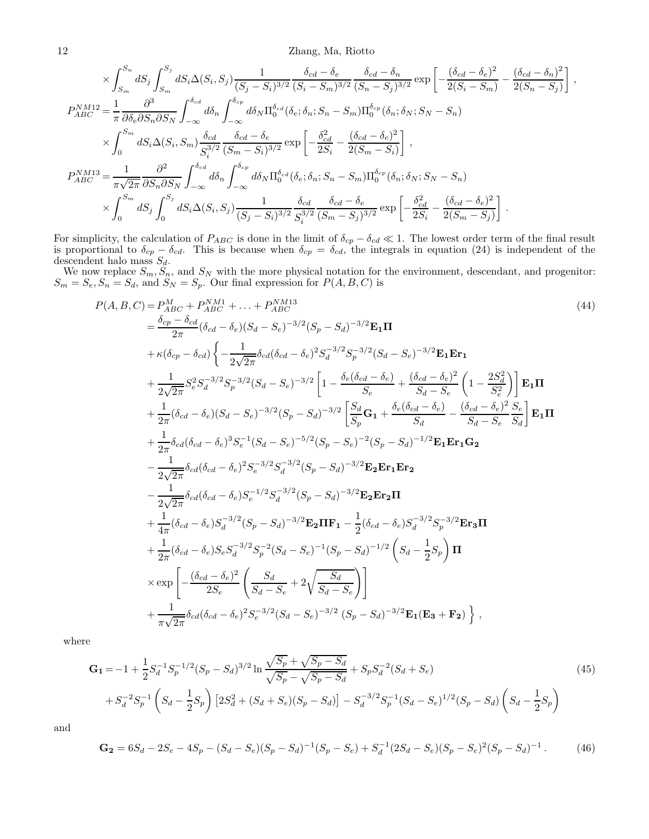12 Zhang, Ma, Riotto

$$
\times \int_{S_m}^{S_n} dS_j \int_{S_m}^{S_j} dS_i \Delta(S_i, S_j) \frac{1}{(S_j - S_i)^{3/2}} \frac{\delta_{cd} - \delta_e}{(S_i - S_m)^{3/2}} \frac{\delta_{cd} - \delta_n}{(S_n - S_j)^{3/2}} \exp\left[ -\frac{(\delta_{cd} - \delta_e)^2}{2(S_i - S_m)} - \frac{(\delta_{cd} - \delta_n)^2}{2(S_n - S_j)} \right],
$$
  
\n
$$
P_{ABC}^{N M 12} = \frac{1}{\pi} \frac{\partial^3}{\partial \delta_e \partial S_n \partial S_N} \int_{-\infty}^{\delta_{cd}} d\delta_n \int_{-\infty}^{\delta_{cp}} d\delta_N \Pi_0^{\delta_{cd}}(\delta_e; \delta_n; S_n - S_m) \Pi_0^{\delta_{cp}}(\delta_n; \delta_N; S_N - S_n)
$$
  
\n
$$
\times \int_0^{S_m} dS_i \Delta(S_i, S_m) \frac{\delta_{cd}}{S_i^{3/2}} \frac{\delta_{cd} - \delta_e}{(S_m - S_i)^{3/2}} \exp\left[ -\frac{\delta_{cd}^2}{2S_i} - \frac{(\delta_{cd} - \delta_e)^2}{2(S_m - S_i)} \right],
$$
  
\n
$$
P_{ABC}^{N M 13} = \frac{1}{\pi \sqrt{2\pi}} \frac{\partial^2}{\partial S_n \partial S_N} \int_{-\infty}^{\delta_{cd}} d\delta_n \int_{-\infty}^{\delta_{cp}} d\delta_N \Pi_0^{\delta_{cd}}(\delta_e; \delta_n; S_n - S_m) \Pi_0^{\delta_{cp}}(\delta_n; \delta_N; S_N - S_n)
$$
  
\n
$$
\times \int_0^{S_m} dS_j \int_0^{S_j} dS_i \Delta(S_i, S_j) \frac{1}{(S_j - S_i)^{3/2}} \frac{\delta_{cd}}{S_i^{3/2}} \frac{\delta_{cd} - \delta_e}{(S_m - S_j)^{3/2}} \exp\left[ -\frac{\delta_{cd}^2}{2S_i} - \frac{(\delta_{cd} - \delta_e)^2}{2(S_m - S_j)} \right].
$$

For simplicity, the calculation of  $P_{ABC}$  is done in the limit of  $\delta_{cp} - \delta_{cd} \ll 1$ . The lowest order term of the final result is proportional to  $\delta_{cp} - \delta_{cd}$ . This is because when  $\delta_{cp} = \delta_{cd}$ , the integrals in equation (24) is independent of the descendent halo mass  $S_d$ .

We now replace  $S_m, S_n$ , and  $S_N$  with the more physical notation for the environment, descendant, and progenitor:  $S_m = S_e, S_n = S_d$ , and  $S_N = S_p$ . Our final expression for  $P(A, B, C)$  is

$$
P(A, B, C) = P_{ABC}^{M} + P_{ABC}^{NM} + ... + P_{ABC}^{MM3}
$$
\n
$$
= \frac{\delta_{cp} - \delta_{cd}}{2\pi} (\delta_{cd} - \delta_e)(S_d - S_e)^{-3/2} (S_p - S_d)^{-3/2} \mathbf{E}_1 \mathbf{\Pi}
$$
\n
$$
+ \kappa(\delta_{cp} - \delta_{cd}) \left\{ -\frac{1}{2\sqrt{2\pi}} \delta_{cd} (\delta_{cd} - \delta_e)^2 S_d^{-3/2} S_p^{-3/2} (S_d - S_e)^{-3/2} \mathbf{E}_1 \mathbf{E} \mathbf{r}_1 + \frac{1}{2\sqrt{2\pi}} S_e^2 S_d^{-3/2} S_p^{-3/2} (S_d - S_e)^{-3/2} \left[ 1 - \frac{\delta_e (\delta_{cd} - \delta_e)}{S_e} + \frac{(\delta_{cd} - \delta_e)^2}{S_d - S_e} \left( 1 - \frac{2S_d^2}{S_e^2} \right) \right] \mathbf{E}_1 \mathbf{\Pi}
$$
\n
$$
+ \frac{1}{2\pi} (\delta_{cd} - \delta_e)(S_d - S_e)^{-3/2} (S_p - S_d)^{-3/2} \left[ \frac{S_d}{S_p} \mathbf{G}_1 + \frac{\delta_e (\delta_{cd} - \delta_e)}{S_d} - \frac{(\delta_{cd} - \delta_e)^2}{S_d - S_e} \frac{S_e}{S_d} \right] \mathbf{E}_1 \mathbf{\Pi}
$$
\n
$$
+ \frac{1}{2\pi} \delta_{cd} (\delta_{cd} - \delta_e)^3 S_e^{-1} (S_d - S_e)^{-5/2} (S_p - S_e)^{-2} (S_p - S_d)^{-1/2} \mathbf{E}_1 \mathbf{E} \mathbf{r}_1 \mathbf{G}_2 - \frac{1}{2\sqrt{2\pi}} \delta_{cd} (\delta_{cd} - \delta_e)^2 S_e^{-3/2} S_d^{-3/2} (S_p - S_d)^{-3/2} \mathbf{E}_2 \mathbf{E} \mathbf{r}_1 \mathbf{E} \mathbf{r}_2
$$
\n
$$
- \frac{1}{2\sqrt{2\pi}} \delta_{cd} (\delta_{cd} - \delta_e) S_e^{-1/2} S_d^{-3/2} (S_p - S_d)^{-3/2} \mathbf{E}_2 \mathbf{E} \mathbf{r}_1 \mathbf{
$$

where

$$
\mathbf{G}_{1} = -1 + \frac{1}{2} S_{d}^{-1} S_{p}^{-1/2} (S_{p} - S_{d})^{3/2} \ln \frac{\sqrt{S_{p}} + \sqrt{S_{p} - S_{d}}}{\sqrt{S_{p}} - \sqrt{S_{p} - S_{d}}} + S_{p} S_{d}^{-2} (S_{d} + S_{e})
$$
\n
$$
+ S_{d}^{-2} S_{p}^{-1} \left( S_{d} - \frac{1}{2} S_{p} \right) \left[ 2S_{d}^{2} + (S_{d} + S_{e}) (S_{p} - S_{d}) \right] - S_{d}^{-3/2} S_{p}^{-1} (S_{d} - S_{e})^{1/2} (S_{p} - S_{d}) \left( S_{d} - \frac{1}{2} S_{p} \right)
$$
\n
$$
(45)
$$

and

$$
\mathbf{G_2} = 6S_d - 2S_e - 4S_p - (S_d - S_e)(S_p - S_d)^{-1}(S_p - S_e) + S_d^{-1}(2S_d - S_e)(S_p - S_e)^2(S_p - S_d)^{-1}.
$$
 (46)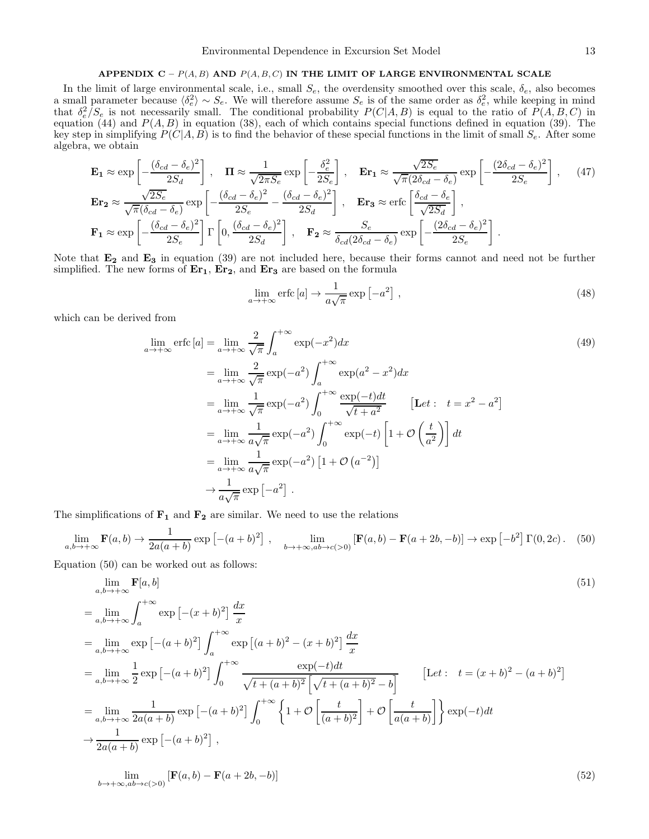# APPENDIX  $C - P(A, B)$  AND  $P(A, B, C)$  IN THE LIMIT OF LARGE ENVIRONMENTAL SCALE

In the limit of large environmental scale, i.e., small  $S_e$ , the overdensity smoothed over this scale,  $\delta_e$ , also becomes a small parameter because  $\langle \delta_e^2 \rangle \sim S_e$ . We will therefore assume  $S_e$  is of the same order as  $\delta_e^2$ , while keeping in mind that  $\delta_e^2/S_e$  is not necessarily small. The conditional probability  $P(C|A, B)$  is equal to the ratio of  $P(A, B, C)$  in equation (44) and  $P(A, B)$  in equation (38), each of which contains special functions defined in equation key step in simplifying  $P(C|A, B)$  is to find the behavior of these special functions in the limit of small  $S_e$ . After some algebra, we obtain

$$
\mathbf{E}_{1} \approx \exp\left[-\frac{(\delta_{cd} - \delta_{e})^{2}}{2S_{d}}\right], \quad \mathbf{\Pi} \approx \frac{1}{\sqrt{2\pi S_{e}}}\exp\left[-\frac{\delta_{e}^{2}}{2S_{e}}\right], \quad \mathbf{E}_{\mathbf{r}_{1}} \approx \frac{\sqrt{2S_{e}}}{\sqrt{\pi}(2\delta_{cd} - \delta_{e})}\exp\left[-\frac{(2\delta_{cd} - \delta_{e})^{2}}{2S_{e}}\right], \quad (47)
$$
\n
$$
\mathbf{E}_{\mathbf{r}_{2}} \approx \frac{\sqrt{2S_{e}}}{\sqrt{\pi}(\delta_{cd} - \delta_{e})}\exp\left[-\frac{(\delta_{cd} - \delta_{e})^{2}}{2S_{e}} - \frac{(\delta_{cd} - \delta_{e})^{2}}{2S_{d}}\right], \quad \mathbf{E}_{\mathbf{r}_{3}} \approx \text{erfc}\left[\frac{\delta_{cd} - \delta_{e}}{\sqrt{2S_{d}}}\right],
$$
\n
$$
\mathbf{F}_{1} \approx \exp\left[-\frac{(\delta_{cd} - \delta_{e})^{2}}{2S_{e}}\right]\Gamma\left[0, \frac{(\delta_{cd} - \delta_{e})^{2}}{2S_{d}}\right], \quad \mathbf{F}_{2} \approx \frac{S_{e}}{\delta_{cd}(2\delta_{cd} - \delta_{e})}\exp\left[-\frac{(2\delta_{cd} - \delta_{e})^{2}}{2S_{e}}\right].
$$

Note that  $E_2$  and  $E_3$  in equation (39) are not included here, because their forms cannot and need not be further simplified. The new forms of  $Er_1$ ,  $Er_2$ , and  $Er_3$  are based on the formula

$$
\lim_{a \to +\infty} \text{erfc} \left[ a \right] \to \frac{1}{a\sqrt{\pi}} \exp \left[ -a^2 \right] \,, \tag{48}
$$

which can be derived from

$$
\lim_{a \to +\infty} \text{erfc} \left[a\right] = \lim_{a \to +\infty} \frac{2}{\sqrt{\pi}} \int_{a}^{+\infty} \exp(-x^{2}) dx
$$
\n
$$
= \lim_{a \to +\infty} \frac{2}{\sqrt{\pi}} \exp(-a^{2}) \int_{a}^{+\infty} \exp(a^{2} - x^{2}) dx
$$
\n
$$
= \lim_{a \to +\infty} \frac{1}{\sqrt{\pi}} \exp(-a^{2}) \int_{0}^{+\infty} \frac{\exp(-t) dt}{\sqrt{t + a^{2}}} \qquad \left[\text{Let}: t = x^{2} - a^{2}\right]
$$
\n
$$
= \lim_{a \to +\infty} \frac{1}{a\sqrt{\pi}} \exp(-a^{2}) \int_{0}^{+\infty} \exp(-t) \left[1 + \mathcal{O}\left(\frac{t}{a^{2}}\right)\right] dt
$$
\n
$$
= \lim_{a \to +\infty} \frac{1}{a\sqrt{\pi}} \exp(-a^{2}) \left[1 + \mathcal{O}\left(a^{-2}\right)\right]
$$
\n
$$
\to \frac{1}{a\sqrt{\pi}} \exp\left[-a^{2}\right].
$$
\n(49)

The simplifications of  $\mathbf{F}_1$  and  $\mathbf{F}_2$  are similar. We need to use the relations

$$
\lim_{a,b\to+\infty} \mathbf{F}(a,b) \to \frac{1}{2a(a+b)} \exp\left[ -(a+b)^2 \right], \quad \lim_{b\to+\infty,ab\to c(>0)} \left[ \mathbf{F}(a,b) - \mathbf{F}(a+2b,-b) \right] \to \exp\left[ -b^2 \right] \Gamma(0,2c). \tag{50}
$$

Equation (50) can be worked out as follows:

$$
\lim_{a,b\to+\infty} \mathbf{F}[a,b] \tag{51}
$$
\n
$$
= \lim_{a,b\to+\infty} \int_{a}^{+\infty} \exp\left[-(x+b)^{2}\right] \frac{dx}{x}
$$
\n
$$
= \lim_{a,b\to+\infty} \exp\left[-(a+b)^{2}\right] \int_{a}^{+\infty} \exp\left[(a+b)^{2} - (x+b)^{2}\right] \frac{dx}{x}
$$
\n
$$
= \lim_{a,b\to+\infty} \frac{1}{2} \exp\left[-(a+b)^{2}\right] \int_{0}^{+\infty} \frac{\exp(-t)dt}{\sqrt{t+(a+b)^{2}} \left[\sqrt{t+(a+b)^{2}}-b\right]} \quad \left[\text{Let}: \quad t=(x+b)^{2}-(a+b)^{2}\right]
$$
\n
$$
= \lim_{a,b\to+\infty} \frac{1}{2a(a+b)} \exp\left[-(a+b)^{2}\right] \int_{0}^{+\infty} \left\{1+\mathcal{O}\left[\frac{t}{(a+b)^{2}}\right]+\mathcal{O}\left[\frac{t}{a(a+b)}\right]\right\} \exp(-t)dt
$$
\n
$$
\to \frac{1}{2a(a+b)} \exp\left[-(a+b)^{2}\right],
$$
\n
$$
\lim_{b\to+\infty, ab\to c(>0)} \left[\mathbf{F}(a,b)-\mathbf{F}(a+2b,-b)\right]
$$
\n(52)